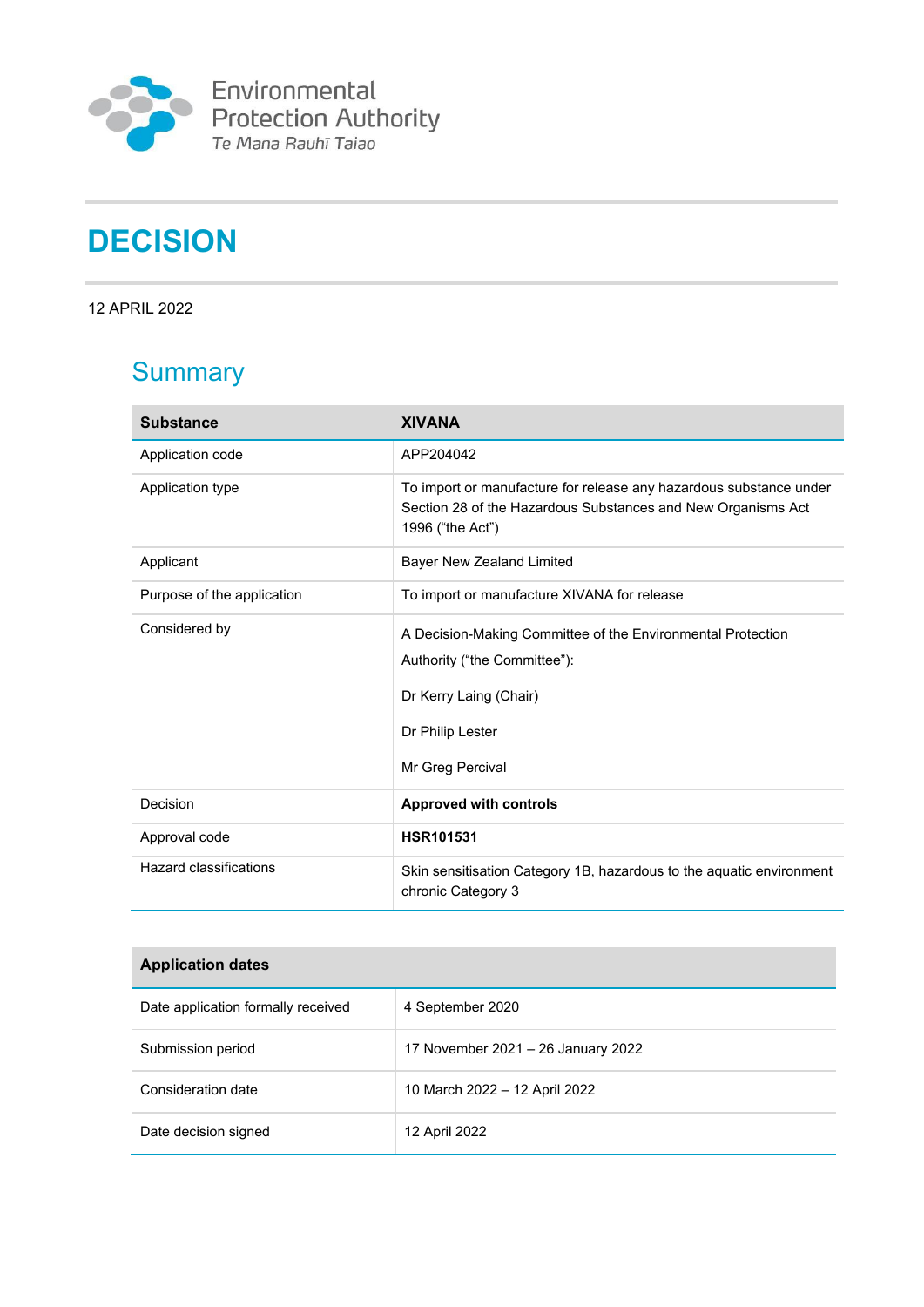

Environmental<br>Protection Authority<br><sup>Te Mana Rauhī Taiao</sup>

# **DECISION**

12 APRIL 2022

## **Summary**

| <b>Substance</b>           | <b>XIVANA</b>                                                                                                                                                 |
|----------------------------|---------------------------------------------------------------------------------------------------------------------------------------------------------------|
| Application code           | APP204042                                                                                                                                                     |
| Application type           | To import or manufacture for release any hazardous substance under<br>Section 28 of the Hazardous Substances and New Organisms Act<br>1996 ("the Act")        |
| Applicant                  | Bayer New Zealand Limited                                                                                                                                     |
| Purpose of the application | To import or manufacture XIVANA for release                                                                                                                   |
| Considered by              | A Decision-Making Committee of the Environmental Protection<br>Authority ("the Committee"):<br>Dr Kerry Laing (Chair)<br>Dr Philip Lester<br>Mr Greg Percival |
| Decision                   | <b>Approved with controls</b>                                                                                                                                 |
| Approval code              | <b>HSR101531</b>                                                                                                                                              |
| Hazard classifications     | Skin sensitisation Category 1B, hazardous to the aquatic environment<br>chronic Category 3                                                                    |

| <b>Application dates</b>           |                                    |  |
|------------------------------------|------------------------------------|--|
| Date application formally received | 4 September 2020                   |  |
| Submission period                  | 17 November 2021 – 26 January 2022 |  |
| Consideration date                 | 10 March 2022 - 12 April 2022      |  |
| Date decision signed               | 12 April 2022                      |  |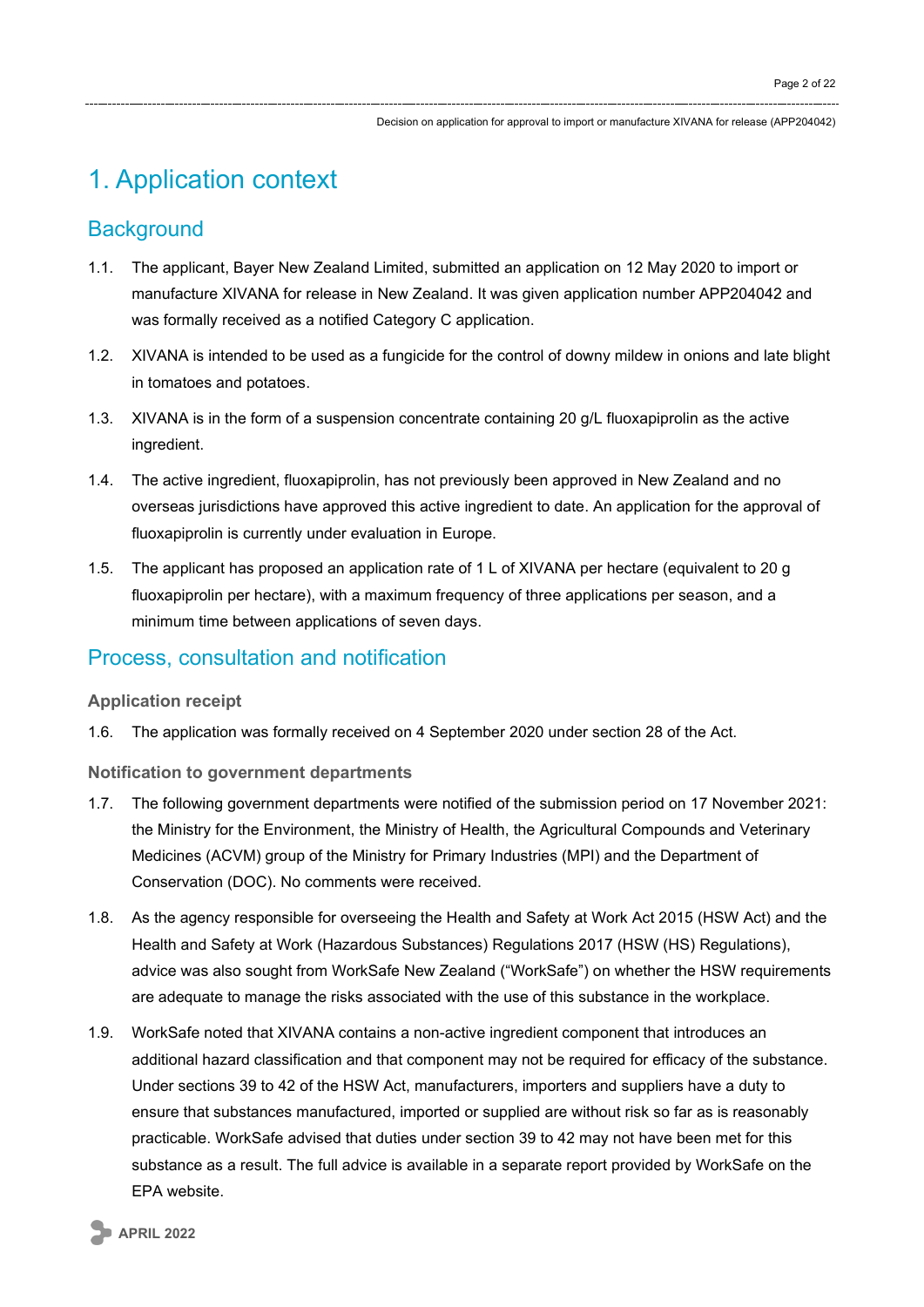## 1. Application context

### **Background**

- 1.1. The applicant, Bayer New Zealand Limited, submitted an application on 12 May 2020 to import or manufacture XIVANA for release in New Zealand. It was given application number APP204042 and was formally received as a notified Category C application.
- 1.2. XIVANA is intended to be used as a fungicide for the control of downy mildew in onions and late blight in tomatoes and potatoes.
- 1.3. XIVANA is in the form of a suspension concentrate containing 20 g/L fluoxapiprolin as the active ingredient.
- 1.4. The active ingredient, fluoxapiprolin, has not previously been approved in New Zealand and no overseas jurisdictions have approved this active ingredient to date. An application for the approval of fluoxapiprolin is currently under evaluation in Europe.
- 1.5. The applicant has proposed an application rate of 1 L of XIVANA per hectare (equivalent to 20 g fluoxapiprolin per hectare), with a maximum frequency of three applications per season, and a minimum time between applications of seven days.

### Process, consultation and notification

### **Application receipt**

1.6. The application was formally received on 4 September 2020 under section 28 of the Act.

### **Notification to government departments**

- 1.7. The following government departments were notified of the submission period on 17 November 2021: the Ministry for the Environment, the Ministry of Health, the Agricultural Compounds and Veterinary Medicines (ACVM) group of the Ministry for Primary Industries (MPI) and the Department of Conservation (DOC). No comments were received.
- 1.8. As the agency responsible for overseeing the Health and Safety at Work Act 2015 (HSW Act) and the Health and Safety at Work (Hazardous Substances) Regulations 2017 (HSW (HS) Regulations), advice was also sought from WorkSafe New Zealand ("WorkSafe") on whether the HSW requirements are adequate to manage the risks associated with the use of this substance in the workplace.
- 1.9. WorkSafe noted that XIVANA contains a non-active ingredient component that introduces an additional hazard classification and that component may not be required for efficacy of the substance. Under sections 39 to 42 of the HSW Act, manufacturers, importers and suppliers have a duty to ensure that substances manufactured, imported or supplied are without risk so far as is reasonably practicable. WorkSafe advised that duties under section 39 to 42 may not have been met for this substance as a result. The full advice is available in a separate report provided by WorkSafe on the EPA website.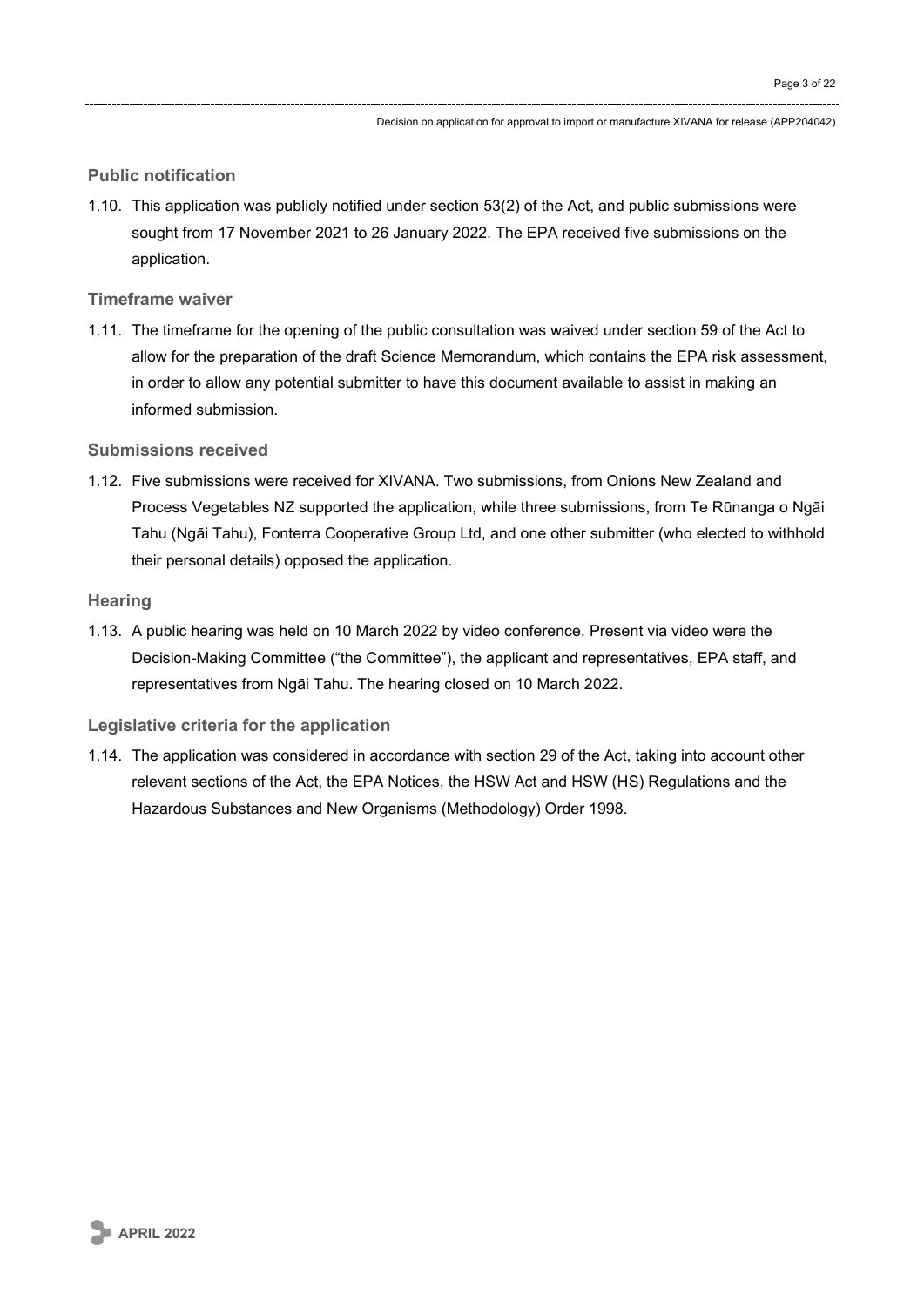#### **Public notification**

1.10. This application was publicly notified under section 53(2) of the Act, and public submissions were sought from 17 November 2021 to 26 January 2022. The EPA received five submissions on the application.

#### **Timeframe waiver**

1.11. The timeframe for the opening of the public consultation was waived under section 59 of the Act to allow for the preparation of the draft Science Memorandum, which contains the EPA risk assessment, in order to allow any potential submitter to have this document available to assist in making an informed submission.

#### **Submissions received**

1.12. Five submissions were received for XIVANA. Two submissions, from Onions New Zealand and Process Vegetables NZ supported the application, while three submissions, from Te Rūnanga o Ngāi Tahu (Ngāi Tahu), Fonterra Cooperative Group Ltd, and one other submitter (who elected to withhold their personal details) opposed the application.

#### **Hearing**

1.13. A public hearing was held on 10 March 2022 by video conference. Present via video were the Decision-Making Committee ("the Committee"), the applicant and representatives, EPA staff, and representatives from Ngāi Tahu. The hearing closed on 10 March 2022.

### **Legislative criteria for the application**

1.14. The application was considered in accordance with section 29 of the Act, taking into account other relevant sections of the Act, the EPA Notices, the HSW Act and HSW (HS) Regulations and the Hazardous Substances and New Organisms (Methodology) Order 1998.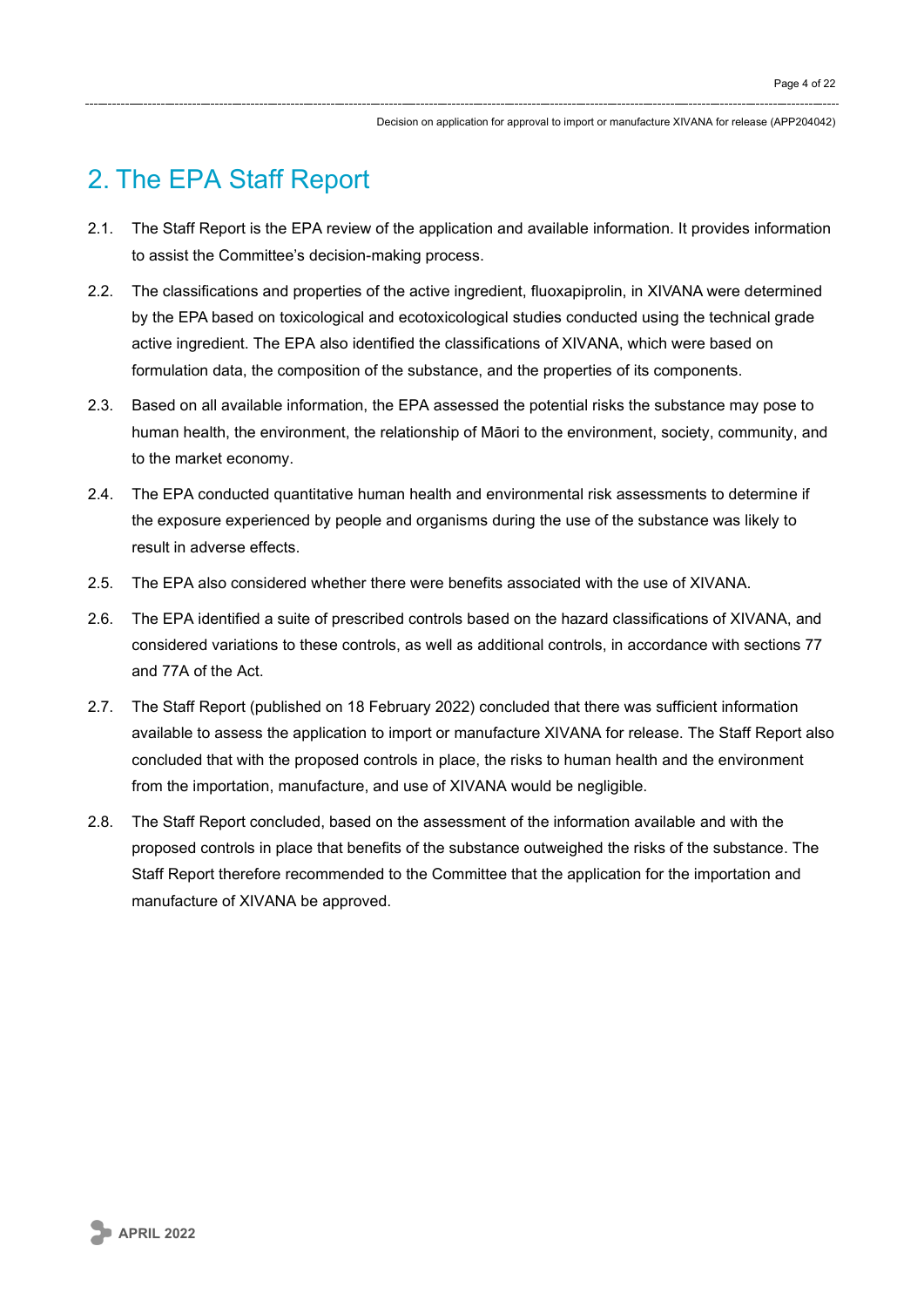## 2. The EPA Staff Report

- 2.1. The Staff Report is the EPA review of the application and available information. It provides information to assist the Committee's decision-making process.
- 2.2. The classifications and properties of the active ingredient, fluoxapiprolin, in XIVANA were determined by the EPA based on toxicological and ecotoxicological studies conducted using the technical grade active ingredient. The EPA also identified the classifications of XIVANA, which were based on formulation data, the composition of the substance, and the properties of its components.
- 2.3. Based on all available information, the EPA assessed the potential risks the substance may pose to human health, the environment, the relationship of Māori to the environment, society, community, and to the market economy.
- 2.4. The EPA conducted quantitative human health and environmental risk assessments to determine if the exposure experienced by people and organisms during the use of the substance was likely to result in adverse effects.
- 2.5. The EPA also considered whether there were benefits associated with the use of XIVANA.
- 2.6. The EPA identified a suite of prescribed controls based on the hazard classifications of XIVANA, and considered variations to these controls, as well as additional controls, in accordance with sections 77 and 77A of the Act.
- 2.7. The Staff Report (published on 18 February 2022) concluded that there was sufficient information available to assess the application to import or manufacture XIVANA for release. The Staff Report also concluded that with the proposed controls in place, the risks to human health and the environment from the importation, manufacture, and use of XIVANA would be negligible.
- 2.8. The Staff Report concluded, based on the assessment of the information available and with the proposed controls in place that benefits of the substance outweighed the risks of the substance. The Staff Report therefore recommended to the Committee that the application for the importation and manufacture of XIVANA be approved.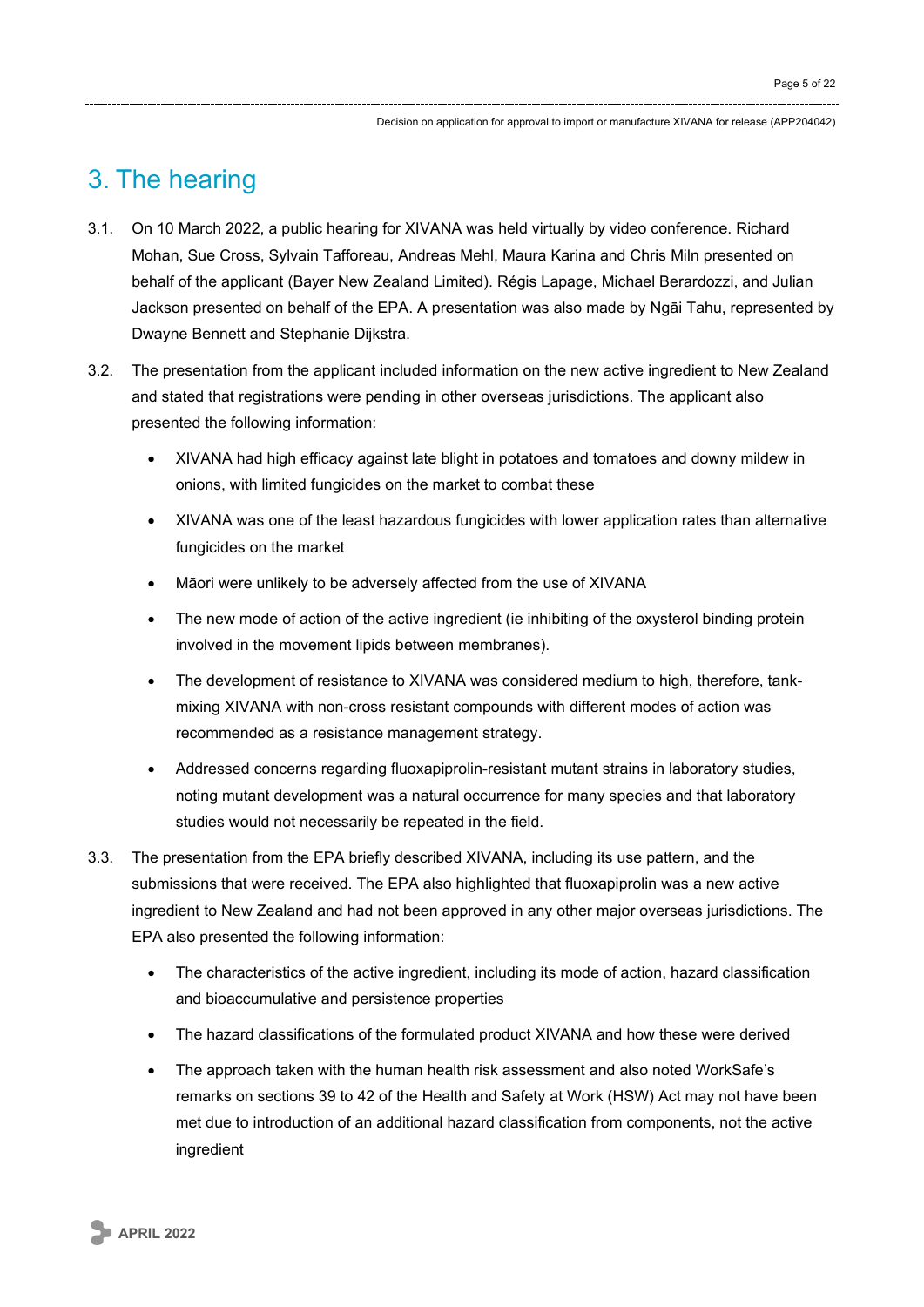## 3. The hearing

- 3.1. On 10 March 2022, a public hearing for XIVANA was held virtually by video conference. Richard Mohan, Sue Cross, Sylvain Tafforeau, Andreas Mehl, Maura Karina and Chris Miln presented on behalf of the applicant (Bayer New Zealand Limited). Régis Lapage, Michael Berardozzi, and Julian Jackson presented on behalf of the EPA. A presentation was also made by Ngāi Tahu, represented by Dwayne Bennett and Stephanie Dijkstra.
- 3.2. The presentation from the applicant included information on the new active ingredient to New Zealand and stated that registrations were pending in other overseas jurisdictions. The applicant also presented the following information:
	- XIVANA had high efficacy against late blight in potatoes and tomatoes and downy mildew in onions, with limited fungicides on the market to combat these
	- XIVANA was one of the least hazardous fungicides with lower application rates than alternative fungicides on the market
	- Māori were unlikely to be adversely affected from the use of XIVANA
	- The new mode of action of the active ingredient (ie inhibiting of the oxysterol binding protein involved in the movement lipids between membranes).
	- The development of resistance to XIVANA was considered medium to high, therefore, tankmixing XIVANA with non-cross resistant compounds with different modes of action was recommended as a resistance management strategy.
	- Addressed concerns regarding fluoxapiprolin-resistant mutant strains in laboratory studies, noting mutant development was a natural occurrence for many species and that laboratory studies would not necessarily be repeated in the field.
- 3.3. The presentation from the EPA briefly described XIVANA, including its use pattern, and the submissions that were received. The EPA also highlighted that fluoxapiprolin was a new active ingredient to New Zealand and had not been approved in any other major overseas jurisdictions. The EPA also presented the following information:
	- The characteristics of the active ingredient, including its mode of action, hazard classification and bioaccumulative and persistence properties
	- The hazard classifications of the formulated product XIVANA and how these were derived
	- The approach taken with the human health risk assessment and also noted WorkSafe's remarks on sections 39 to 42 of the Health and Safety at Work (HSW) Act may not have been met due to introduction of an additional hazard classification from components, not the active ingredient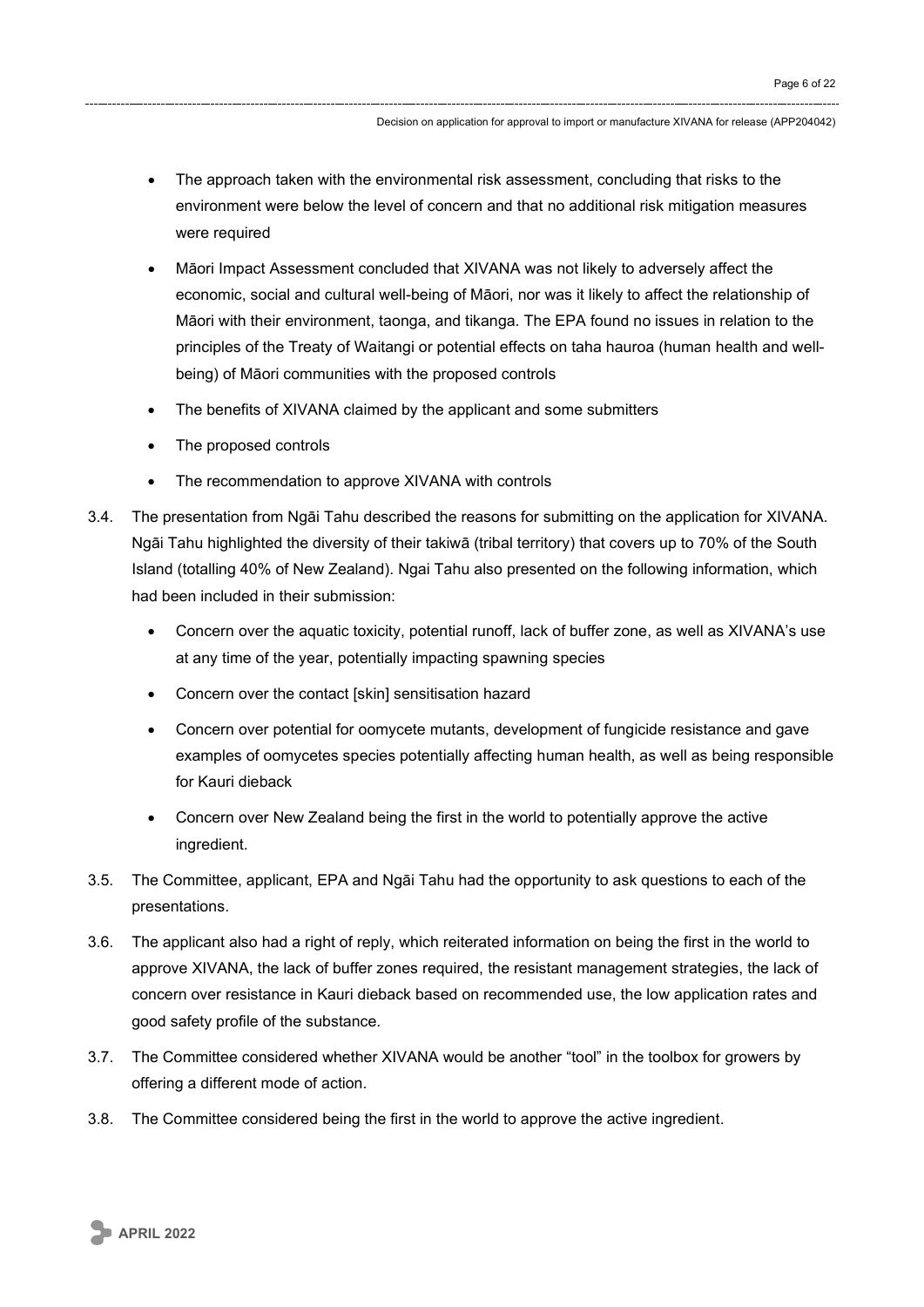- The approach taken with the environmental risk assessment, concluding that risks to the environment were below the level of concern and that no additional risk mitigation measures were required
- Māori Impact Assessment concluded that XIVANA was not likely to adversely affect the economic, social and cultural well-being of Māori, nor was it likely to affect the relationship of Māori with their environment, taonga, and tikanga. The EPA found no issues in relation to the principles of the Treaty of Waitangi or potential effects on taha hauroa (human health and wellbeing) of Māori communities with the proposed controls
- The benefits of XIVANA claimed by the applicant and some submitters
- The proposed controls
- The recommendation to approve XIVANA with controls
- 3.4. The presentation from Ngāi Tahu described the reasons for submitting on the application for XIVANA. Ngāi Tahu highlighted the diversity of their takiwā (tribal territory) that covers up to 70% of the South Island (totalling 40% of New Zealand). Ngai Tahu also presented on the following information, which had been included in their submission:
	- Concern over the aquatic toxicity, potential runoff, lack of buffer zone, as well as XIVANA's use at any time of the year, potentially impacting spawning species
	- Concern over the contact [skin] sensitisation hazard
	- Concern over potential for oomycete mutants, development of fungicide resistance and gave examples of oomycetes species potentially affecting human health, as well as being responsible for Kauri dieback
	- Concern over New Zealand being the first in the world to potentially approve the active ingredient.
- 3.5. The Committee, applicant, EPA and Ngāi Tahu had the opportunity to ask questions to each of the presentations.
- 3.6. The applicant also had a right of reply, which reiterated information on being the first in the world to approve XIVANA, the lack of buffer zones required, the resistant management strategies, the lack of concern over resistance in Kauri dieback based on recommended use, the low application rates and good safety profile of the substance.
- 3.7. The Committee considered whether XIVANA would be another "tool" in the toolbox for growers by offering a different mode of action.
- 3.8. The Committee considered being the first in the world to approve the active ingredient.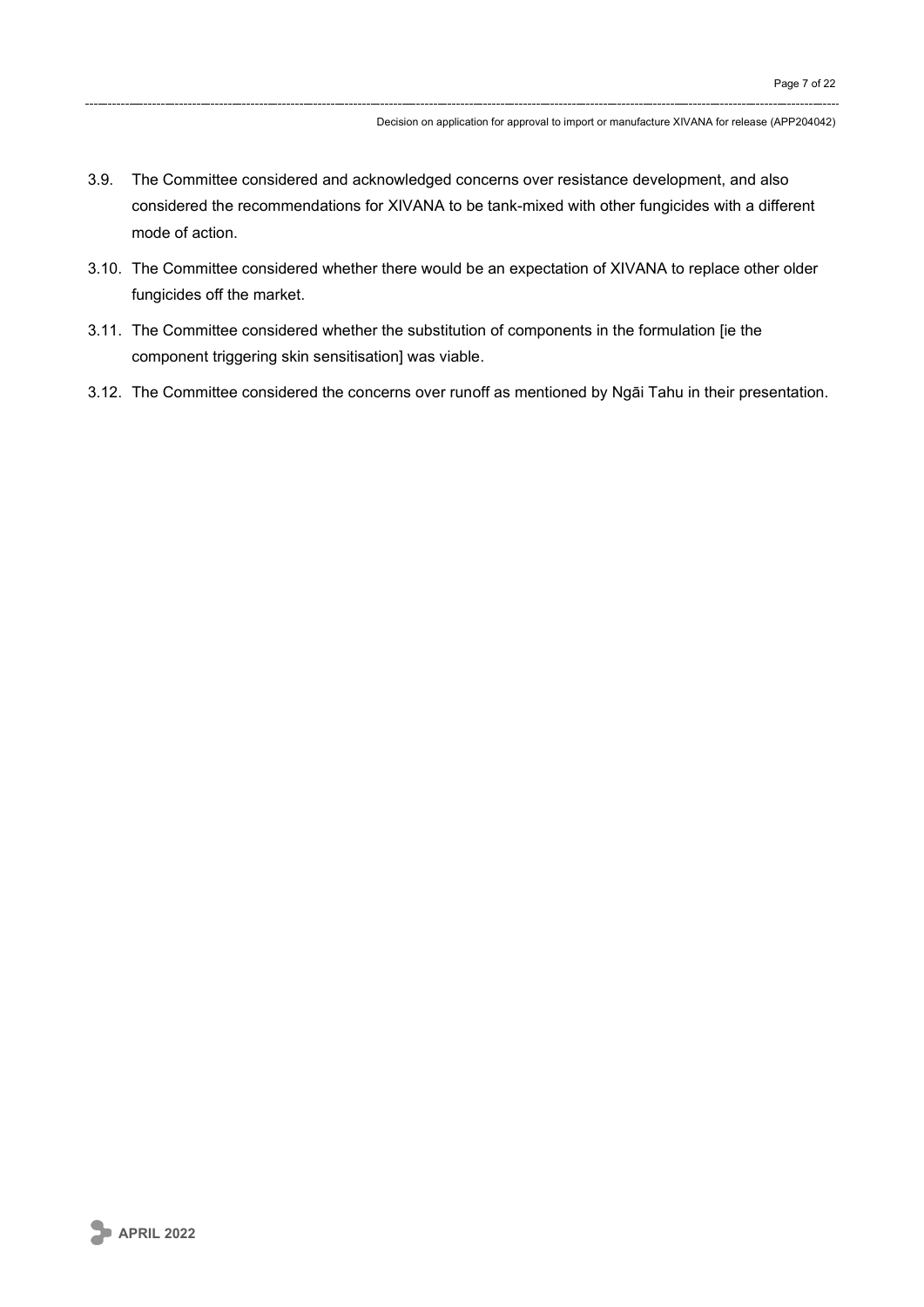- 3.9. The Committee considered and acknowledged concerns over resistance development, and also considered the recommendations for XIVANA to be tank-mixed with other fungicides with a different mode of action.
- 3.10. The Committee considered whether there would be an expectation of XIVANA to replace other older fungicides off the market.
- 3.11. The Committee considered whether the substitution of components in the formulation [ie the component triggering skin sensitisation] was viable.
- 3.12. The Committee considered the concerns over runoff as mentioned by Ngāi Tahu in their presentation.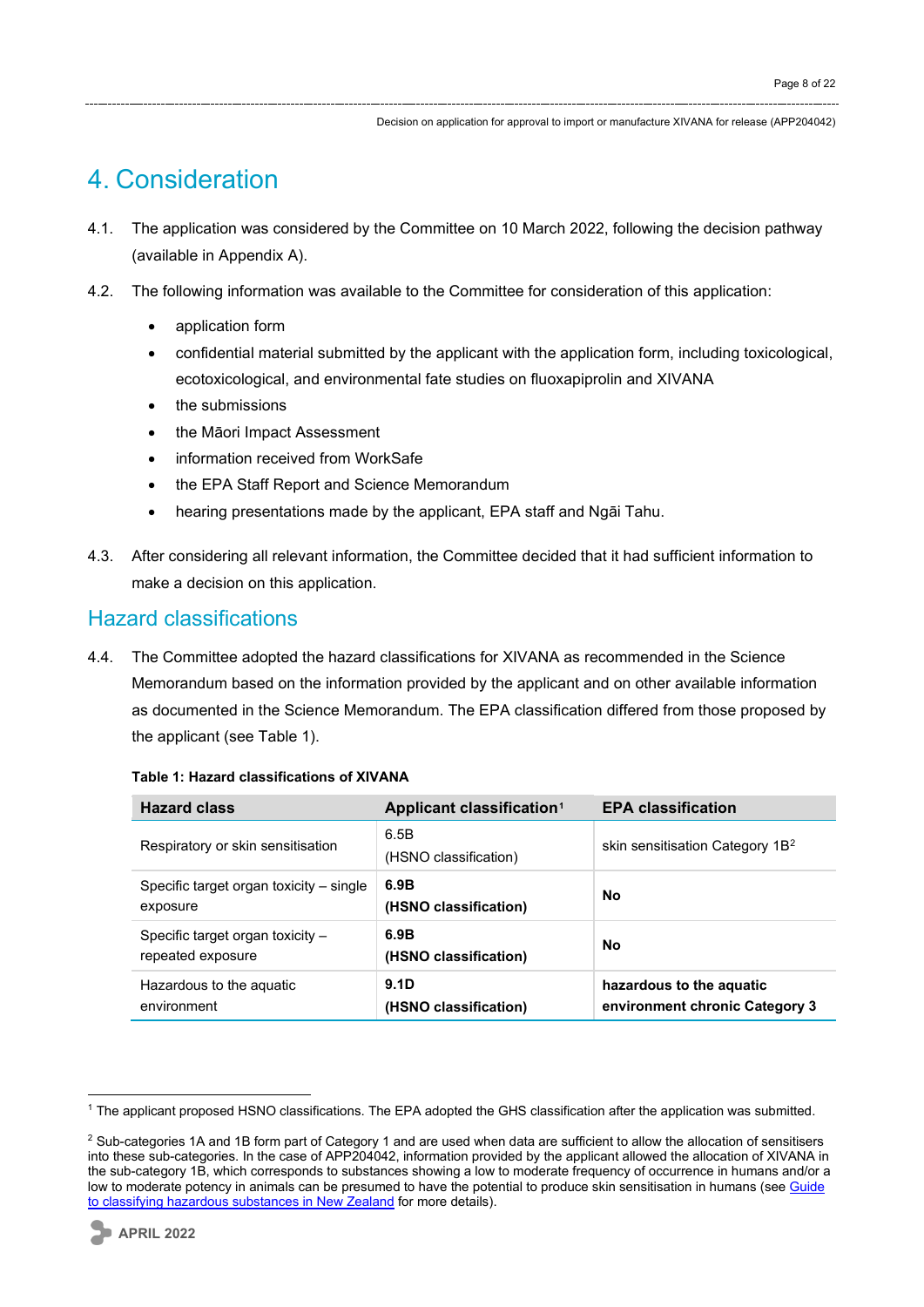## 4. Consideration

- 4.1. The application was considered by the Committee on 10 March 2022, following the decision pathway (available in Appendix A).
- 4.2. The following information was available to the Committee for consideration of this application:
	- application form
	- confidential material submitted by the applicant with the application form, including toxicological, ecotoxicological, and environmental fate studies on fluoxapiprolin and XIVANA
	- the submissions
	- the Māori Impact Assessment
	- information received from WorkSafe
	- the EPA Staff Report and Science Memorandum
	- hearing presentations made by the applicant, EPA staff and Ngāi Tahu.
- 4.3. After considering all relevant information, the Committee decided that it had sufficient information to make a decision on this application.

### Hazard classifications

4.4. The Committee adopted the hazard classifications for XIVANA as recommended in the Science Memorandum based on the information provided by the applicant and on other available information as documented in the Science Memorandum. The EPA classification differed from those proposed by the applicant (see Table 1).

| <b>Hazard class</b>                                     | Applicant classification <sup>1</sup> | <b>EPA classification</b>                                  |
|---------------------------------------------------------|---------------------------------------|------------------------------------------------------------|
| Respiratory or skin sensitisation                       | 6.5B<br>(HSNO classification)         | skin sensitisation Category 1B <sup>2</sup>                |
| Specific target organ toxicity – single<br>exposure     | 6.9B<br>(HSNO classification)         | <b>No</b>                                                  |
| Specific target organ toxicity $-$<br>repeated exposure | 6.9B<br>(HSNO classification)         | <b>No</b>                                                  |
| Hazardous to the aquatic<br>environment                 | 9.1D<br>(HSNO classification)         | hazardous to the aquatic<br>environment chronic Category 3 |

#### **Table 1: Hazard classifications of XIVANA**

<span id="page-7-0"></span><sup>1</sup> The applicant proposed HSNO classifications. The EPA adopted the GHS classification after the application was submitted.

<span id="page-7-1"></span><sup>&</sup>lt;sup>2</sup> Sub-categories 1A and 1B form part of Category 1 and are used when data are sufficient to allow the allocation of sensitisers into these sub-categories. In the case of APP204042, information provided by the applicant allowed the allocation of XIVANA in the sub-category 1B, which corresponds to substances showing a low to moderate frequency of occurrence in humans and/or a low to moderate potency in animals can be presumed to have the potential to produce skin sensitisation in humans (see Guide [to classifying hazardous substances in New Zealand](https://www.epa.govt.nz/industry-areas/hazardous-substances/new-zealands-new-hazard-classification-system/) for more details).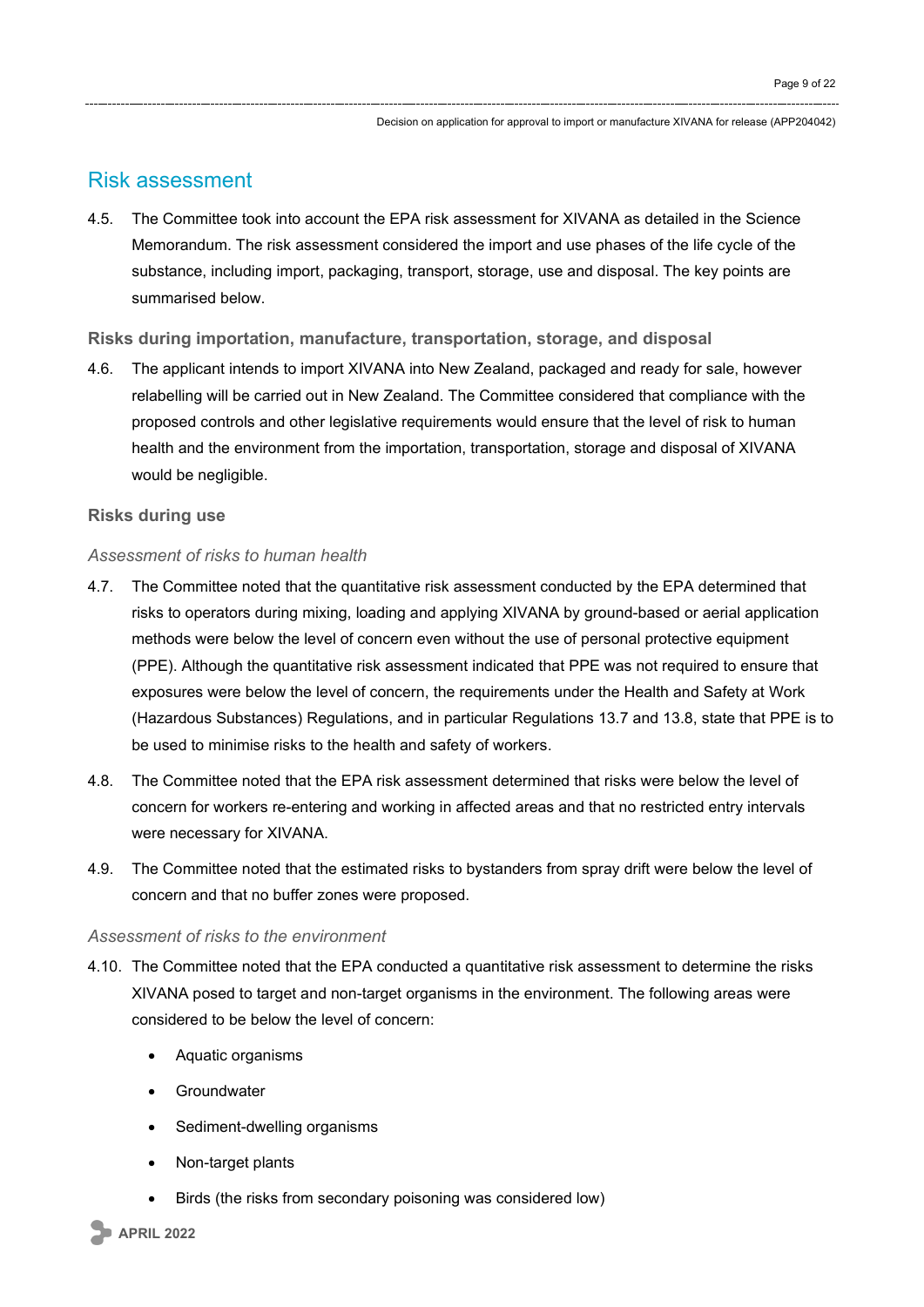### Risk assessment

4.5. The Committee took into account the EPA risk assessment for XIVANA as detailed in the Science Memorandum. The risk assessment considered the import and use phases of the life cycle of the substance, including import, packaging, transport, storage, use and disposal. The key points are summarised below.

#### **Risks during importation, manufacture, transportation, storage, and disposal**

4.6. The applicant intends to import XIVANA into New Zealand, packaged and ready for sale, however relabelling will be carried out in New Zealand. The Committee considered that compliance with the proposed controls and other legislative requirements would ensure that the level of risk to human health and the environment from the importation, transportation, storage and disposal of XIVANA would be negligible.

#### **Risks during use**

#### *Assessment of risks to human health*

- 4.7. The Committee noted that the quantitative risk assessment conducted by the EPA determined that risks to operators during mixing, loading and applying XIVANA by ground-based or aerial application methods were below the level of concern even without the use of personal protective equipment (PPE). Although the quantitative risk assessment indicated that PPE was not required to ensure that exposures were below the level of concern, the requirements under the Health and Safety at Work (Hazardous Substances) Regulations, and in particular Regulations 13.7 and 13.8, state that PPE is to be used to minimise risks to the health and safety of workers.
- 4.8. The Committee noted that the EPA risk assessment determined that risks were below the level of concern for workers re-entering and working in affected areas and that no restricted entry intervals were necessary for XIVANA.
- 4.9. The Committee noted that the estimated risks to bystanders from spray drift were below the level of concern and that no buffer zones were proposed.

#### *Assessment of risks to the environment*

- 4.10. The Committee noted that the EPA conducted a quantitative risk assessment to determine the risks XIVANA posed to target and non-target organisms in the environment. The following areas were considered to be below the level of concern:
	- Aquatic organisms
	- Groundwater
	- Sediment-dwelling organisms
	- Non-target plants
	- Birds (the risks from secondary poisoning was considered low)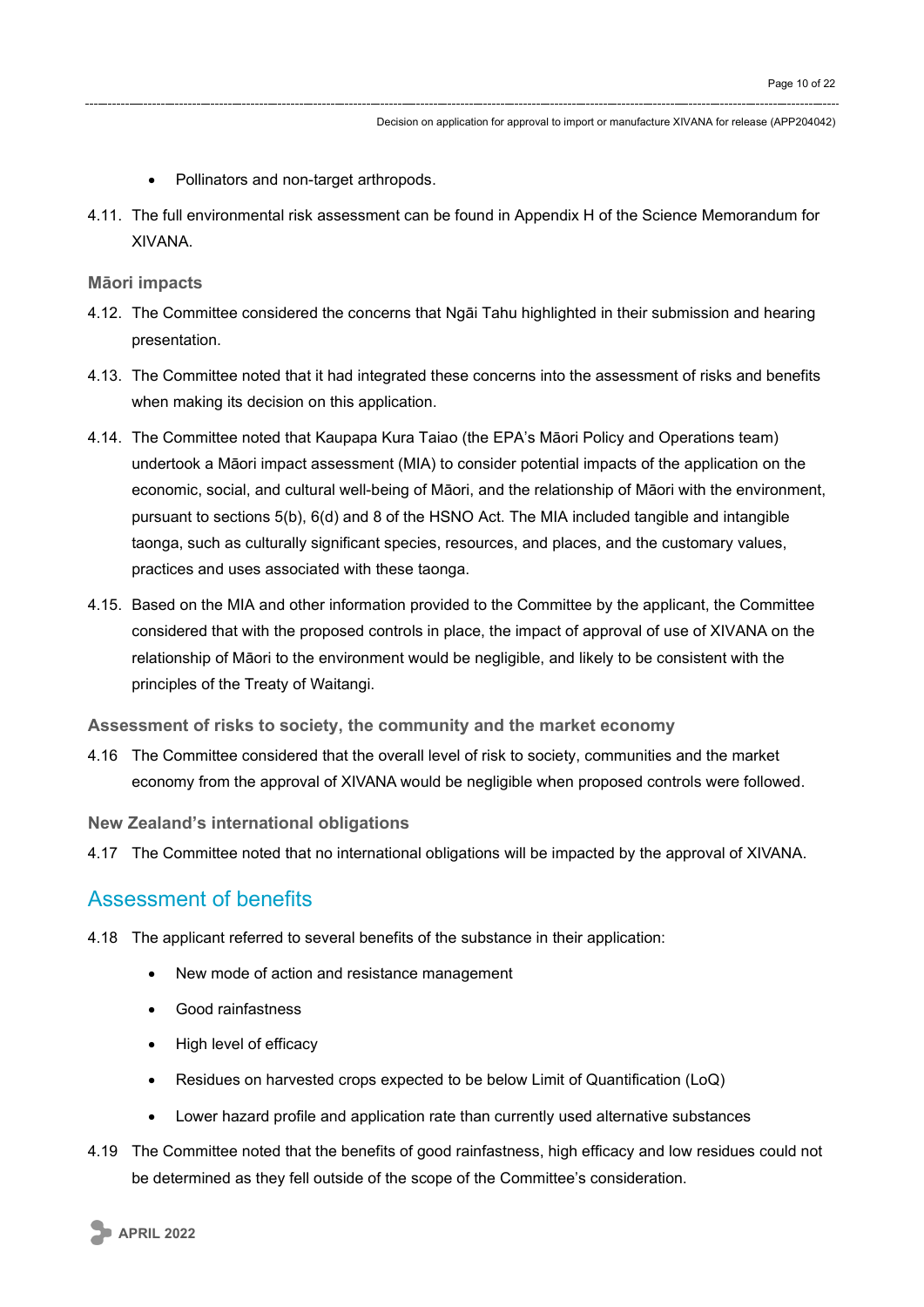- Pollinators and non-target arthropods.
- 4.11. The full environmental risk assessment can be found in Appendix H of the Science Memorandum for XIVANA.

**Māori impacts**

- 4.12. The Committee considered the concerns that Ngāi Tahu highlighted in their submission and hearing presentation.
- 4.13. The Committee noted that it had integrated these concerns into the assessment of risks and benefits when making its decision on this application.
- 4.14. The Committee noted that Kaupapa Kura Taiao (the EPA's Māori Policy and Operations team) undertook a Māori impact assessment (MIA) to consider potential impacts of the application on the economic, social, and cultural well-being of Māori, and the relationship of Māori with the environment, pursuant to sections 5(b), 6(d) and 8 of the HSNO Act. The MIA included tangible and intangible taonga, such as culturally significant species, resources, and places, and the customary values, practices and uses associated with these taonga.
- 4.15. Based on the MIA and other information provided to the Committee by the applicant, the Committee considered that with the proposed controls in place, the impact of approval of use of XIVANA on the relationship of Māori to the environment would be negligible, and likely to be consistent with the principles of the Treaty of Waitangi.

**Assessment of risks to society, the community and the market economy**

4.16 The Committee considered that the overall level of risk to society, communities and the market economy from the approval of XIVANA would be negligible when proposed controls were followed.

**New Zealand's international obligations**

4.17 The Committee noted that no international obligations will be impacted by the approval of XIVANA.

### Assessment of benefits

- 4.18 The applicant referred to several benefits of the substance in their application:
	- New mode of action and resistance management
	- Good rainfastness
	- High level of efficacy
	- Residues on harvested crops expected to be below Limit of Quantification (LoQ)
	- Lower hazard profile and application rate than currently used alternative substances
- 4.19 The Committee noted that the benefits of good rainfastness, high efficacy and low residues could not be determined as they fell outside of the scope of the Committee's consideration.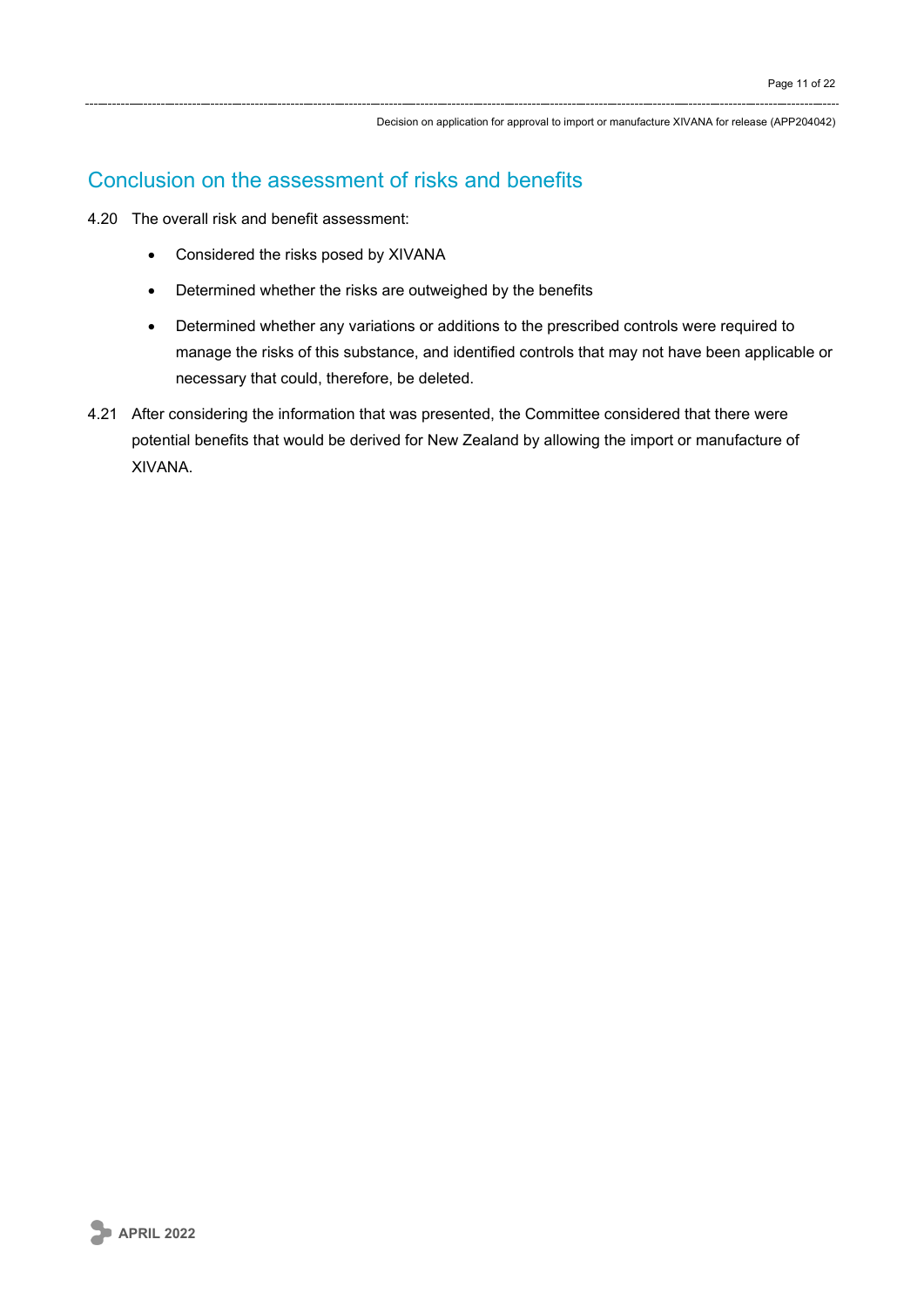## Conclusion on the assessment of risks and benefits

- 4.20 The overall risk and benefit assessment:
	- Considered the risks posed by XIVANA
	- Determined whether the risks are outweighed by the benefits
	- Determined whether any variations or additions to the prescribed controls were required to manage the risks of this substance, and identified controls that may not have been applicable or necessary that could, therefore, be deleted.
- 4.21 After considering the information that was presented, the Committee considered that there were potential benefits that would be derived for New Zealand by allowing the import or manufacture of XIVANA.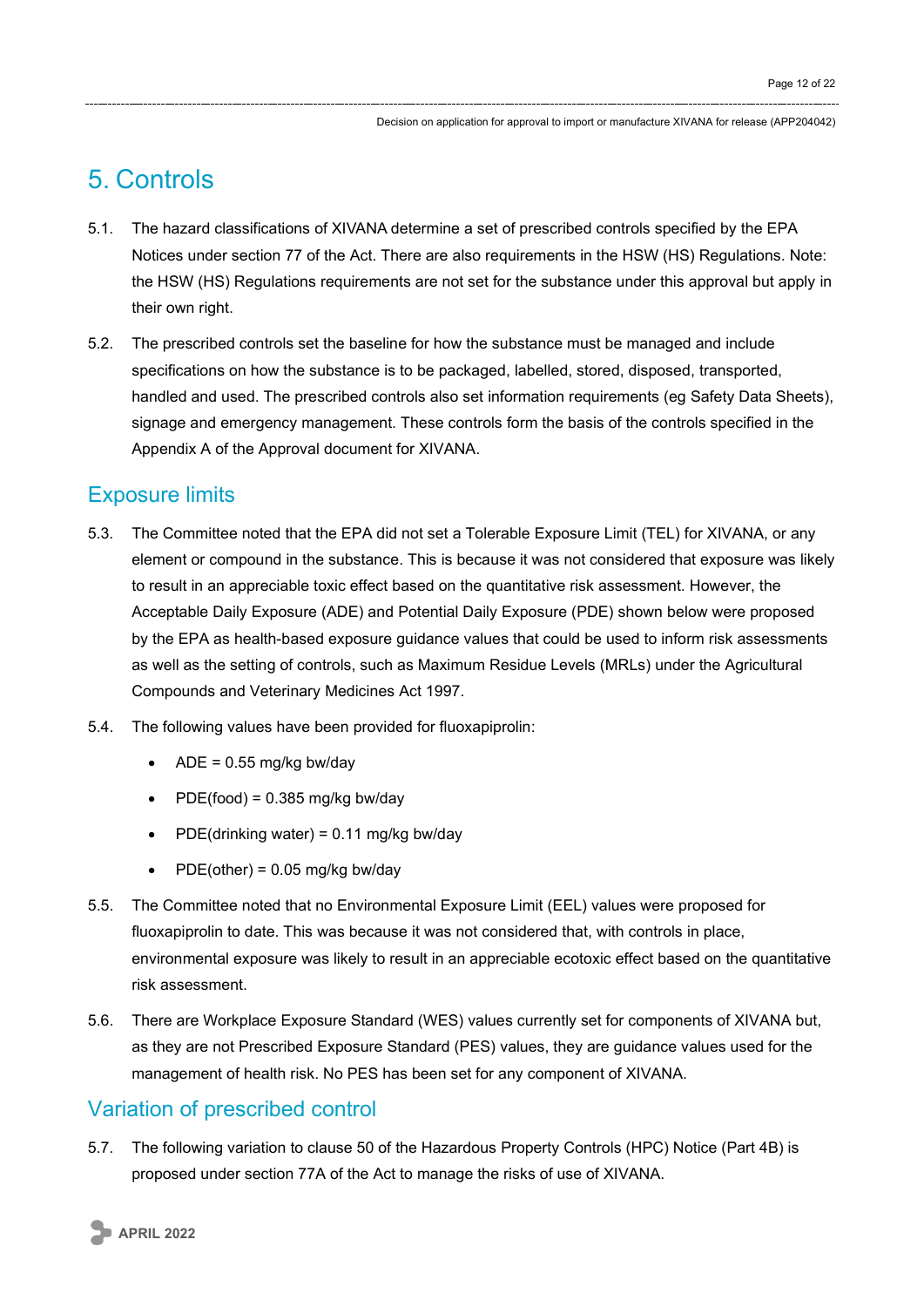## 5. Controls

- 5.1. The hazard classifications of XIVANA determine a set of prescribed controls specified by the EPA Notices under section 77 of the Act. There are also requirements in the HSW (HS) Regulations. Note: the HSW (HS) Regulations requirements are not set for the substance under this approval but apply in their own right.
- 5.2. The prescribed controls set the baseline for how the substance must be managed and include specifications on how the substance is to be packaged, labelled, stored, disposed, transported, handled and used. The prescribed controls also set information requirements (eg Safety Data Sheets), signage and emergency management. These controls form the basis of the controls specified in the Appendix A of the Approval document for XIVANA.

### Exposure limits

- 5.3. The Committee noted that the EPA did not set a Tolerable Exposure Limit (TEL) for XIVANA, or any element or compound in the substance. This is because it was not considered that exposure was likely to result in an appreciable toxic effect based on the quantitative risk assessment. However, the Acceptable Daily Exposure (ADE) and Potential Daily Exposure (PDE) shown below were proposed by the EPA as health-based exposure guidance values that could be used to inform risk assessments as well as the setting of controls, such as Maximum Residue Levels (MRLs) under the Agricultural Compounds and Veterinary Medicines Act 1997.
- 5.4. The following values have been provided for fluoxapiprolin:
	- $ADE = 0.55$  mg/kg bw/day
	- $PDE(food) = 0.385 mg/kg bw/day$
	- PDE(drinking water) = 0.11 mg/kg bw/day
	- PDE(other) =  $0.05$  mg/kg bw/day
- 5.5. The Committee noted that no Environmental Exposure Limit (EEL) values were proposed for fluoxapiprolin to date. This was because it was not considered that, with controls in place, environmental exposure was likely to result in an appreciable ecotoxic effect based on the quantitative risk assessment.
- 5.6. There are Workplace Exposure Standard (WES) values currently set for components of XIVANA but, as they are not Prescribed Exposure Standard (PES) values, they are guidance values used for the management of health risk. No PES has been set for any component of XIVANA.

## Variation of prescribed control

5.7. The following variation to clause 50 of the Hazardous Property Controls (HPC) Notice (Part 4B) is proposed under section 77A of the Act to manage the risks of use of XIVANA.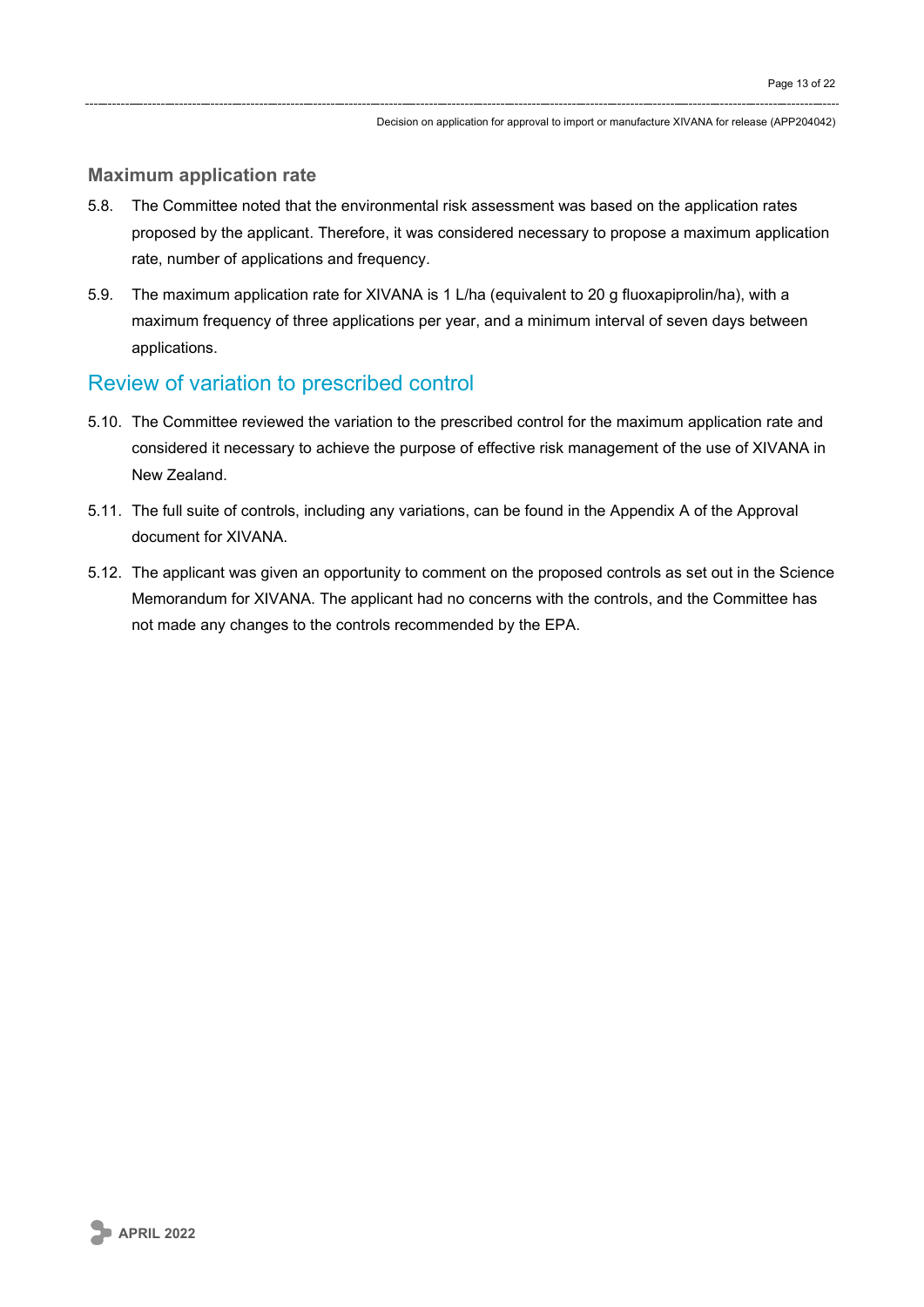#### **Maximum application rate**

- 5.8. The Committee noted that the environmental risk assessment was based on the application rates proposed by the applicant. Therefore, it was considered necessary to propose a maximum application rate, number of applications and frequency.
- 5.9. The maximum application rate for XIVANA is 1 L/ha (equivalent to 20 g fluoxapiprolin/ha), with a maximum frequency of three applications per year, and a minimum interval of seven days between applications.

### Review of variation to prescribed control

- 5.10. The Committee reviewed the variation to the prescribed control for the maximum application rate and considered it necessary to achieve the purpose of effective risk management of the use of XIVANA in New Zealand.
- 5.11. The full suite of controls, including any variations, can be found in the Appendix A of the Approval document for XIVANA.
- 5.12. The applicant was given an opportunity to comment on the proposed controls as set out in the Science Memorandum for XIVANA. The applicant had no concerns with the controls, and the Committee has not made any changes to the controls recommended by the EPA.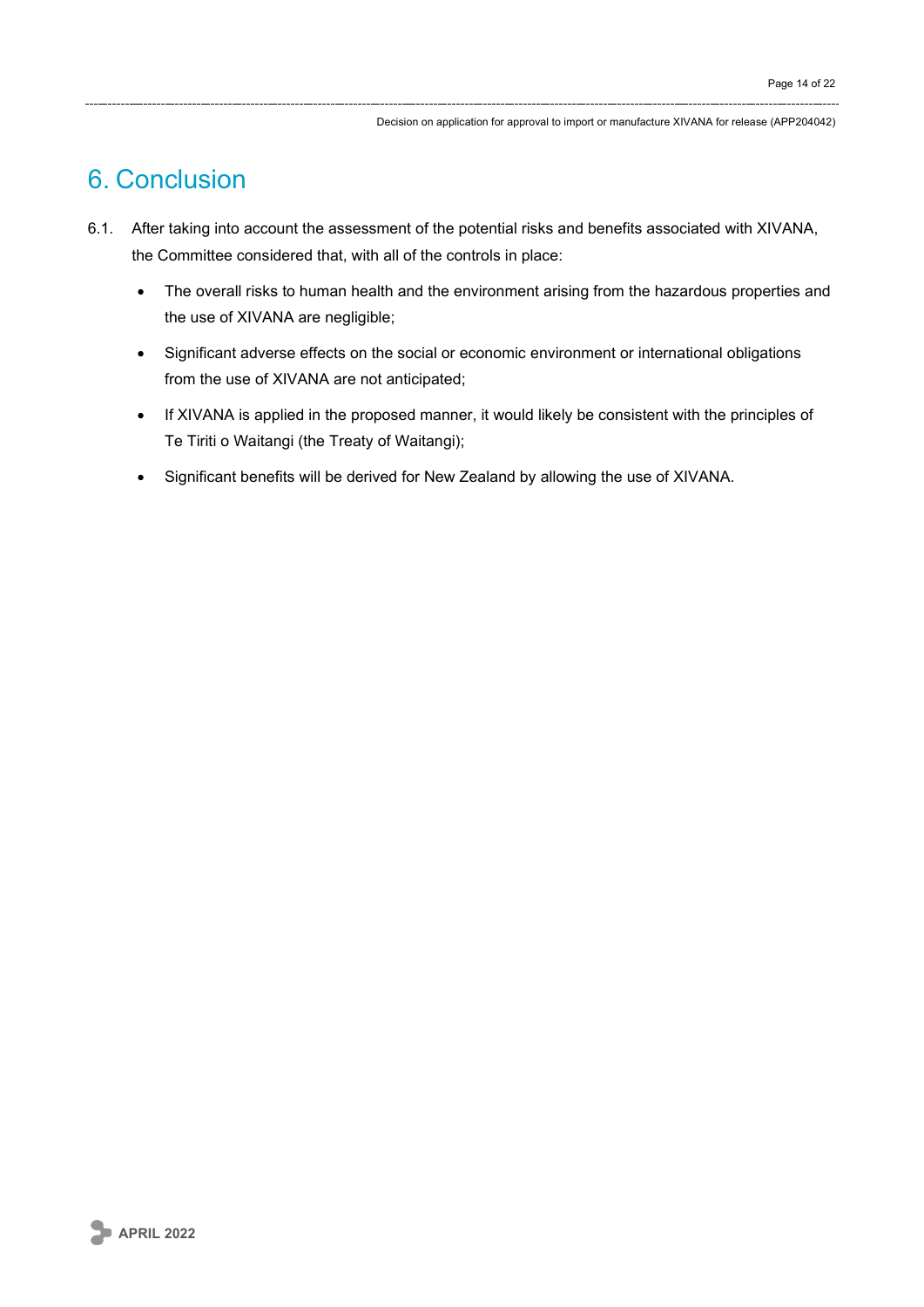## 6. Conclusion

- 6.1. After taking into account the assessment of the potential risks and benefits associated with XIVANA, the Committee considered that, with all of the controls in place:
	- The overall risks to human health and the environment arising from the hazardous properties and the use of XIVANA are negligible;
	- Significant adverse effects on the social or economic environment or international obligations from the use of XIVANA are not anticipated;
	- If XIVANA is applied in the proposed manner, it would likely be consistent with the principles of Te Tiriti o Waitangi (the Treaty of Waitangi);
	- Significant benefits will be derived for New Zealand by allowing the use of XIVANA.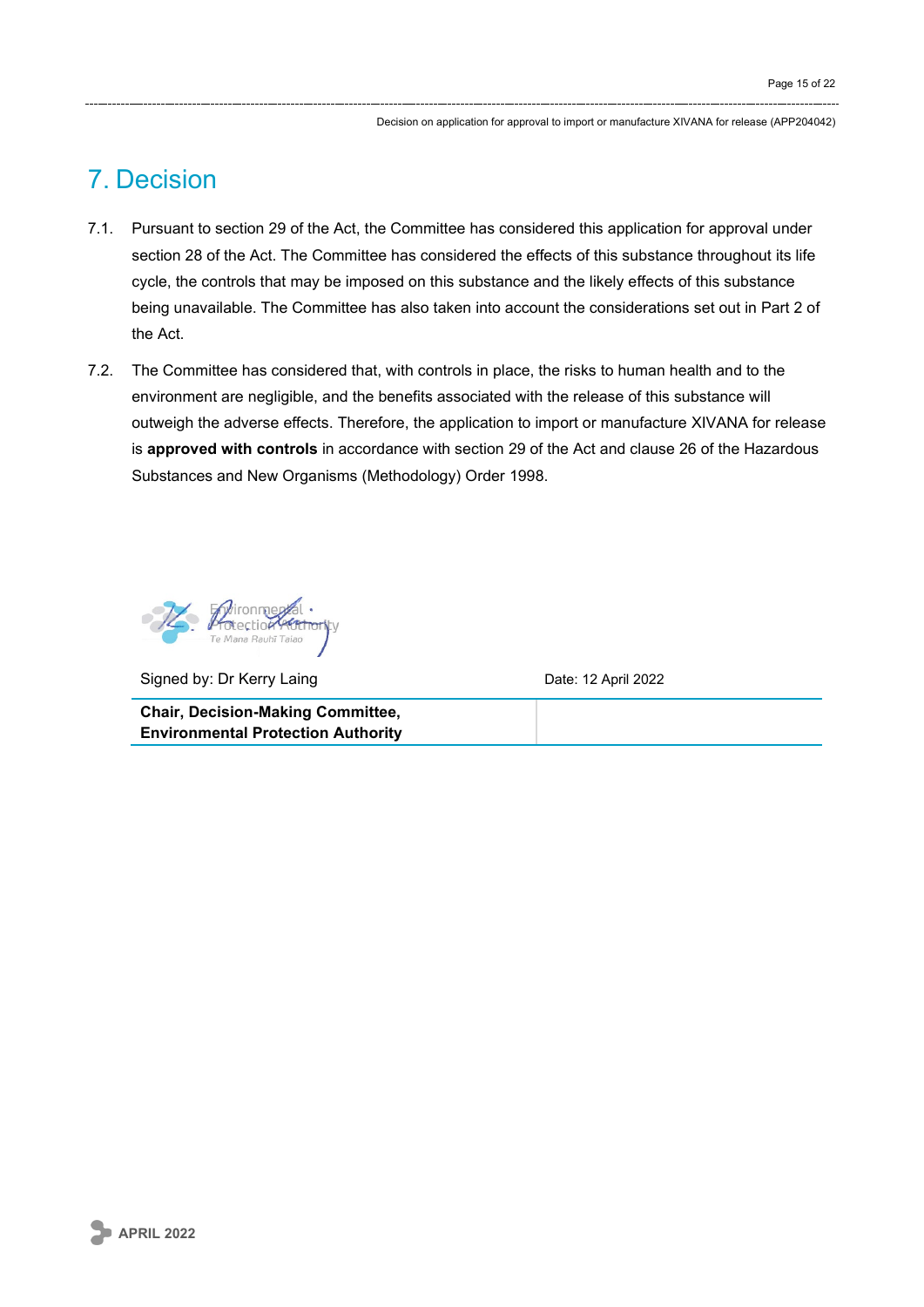## 7. Decision

- 7.1. Pursuant to section 29 of the Act, the Committee has considered this application for approval under section 28 of the Act. The Committee has considered the effects of this substance throughout its life cycle, the controls that may be imposed on this substance and the likely effects of this substance being unavailable. The Committee has also taken into account the considerations set out in Part 2 of the Act.
- 7.2. The Committee has considered that, with controls in place, the risks to human health and to the environment are negligible, and the benefits associated with the release of this substance will outweigh the adverse effects. Therefore, the application to import or manufacture XIVANA for release is **approved with controls** in accordance with section 29 of the Act and clause 26 of the Hazardous Substances and New Organisms (Methodology) Order 1998.



Signed by: Dr Kerry Laing Date: 12 April 2022

**Chair, Decision-Making Committee, Environmental Protection Authority**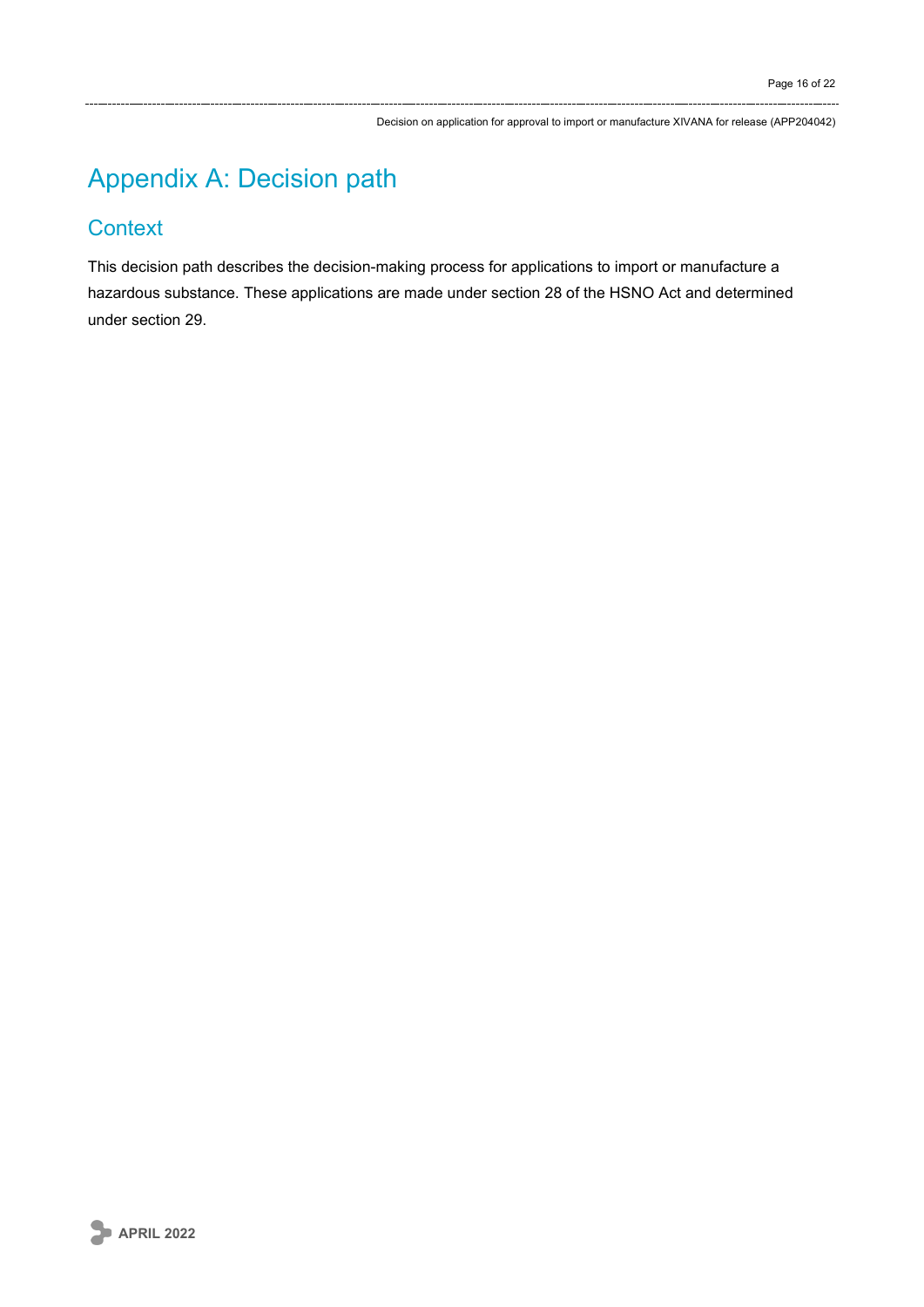# Appendix A: Decision path

### **Context**

This decision path describes the decision-making process for applications to import or manufacture a hazardous substance. These applications are made under section 28 of the HSNO Act and determined under section 29.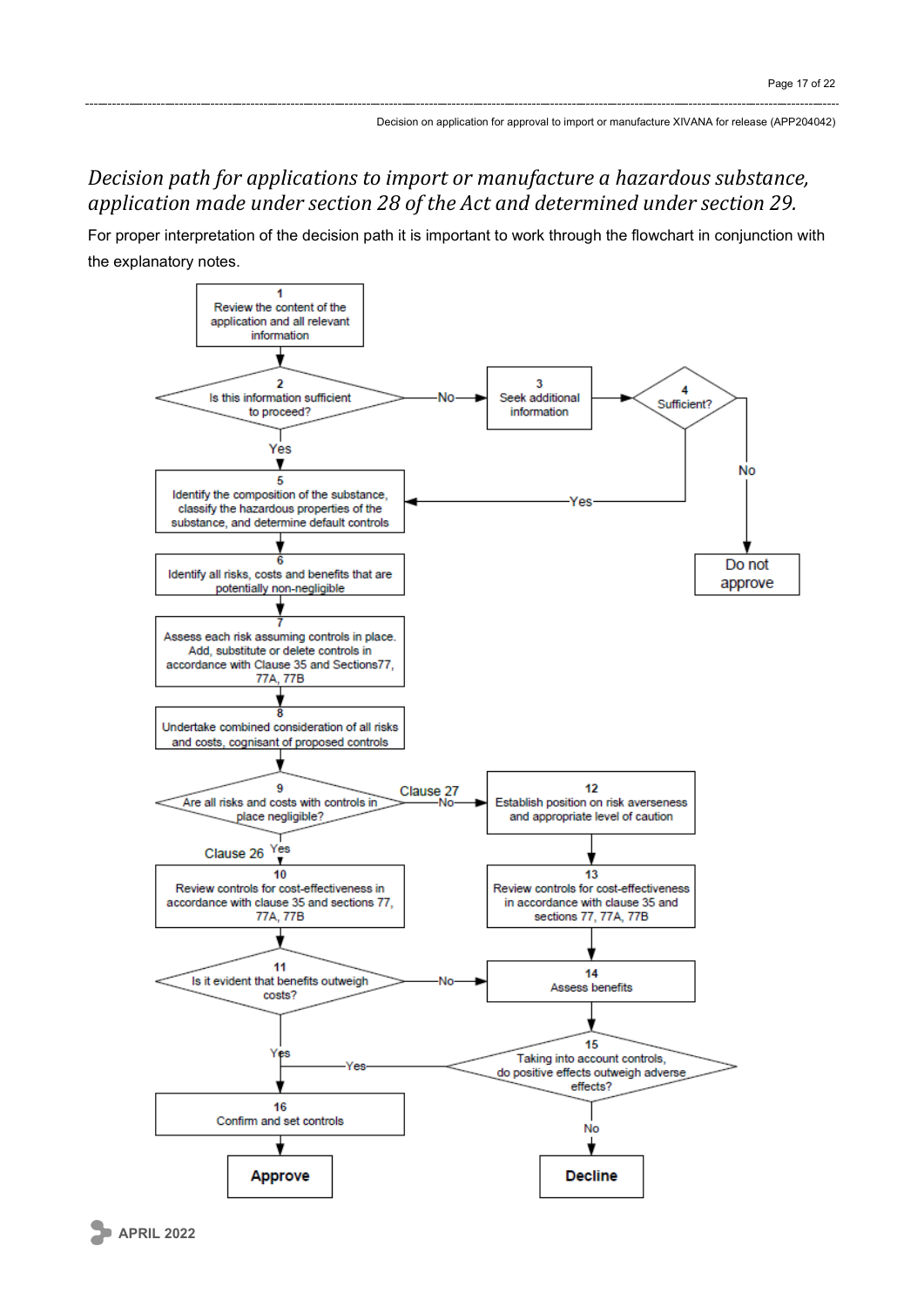## *Decision path for applications to import or manufacture a hazardous substance, application made under section 28 of the Act and determined under section 29.*

For proper interpretation of the decision path it is important to work through the flowchart in conjunction with the explanatory notes.

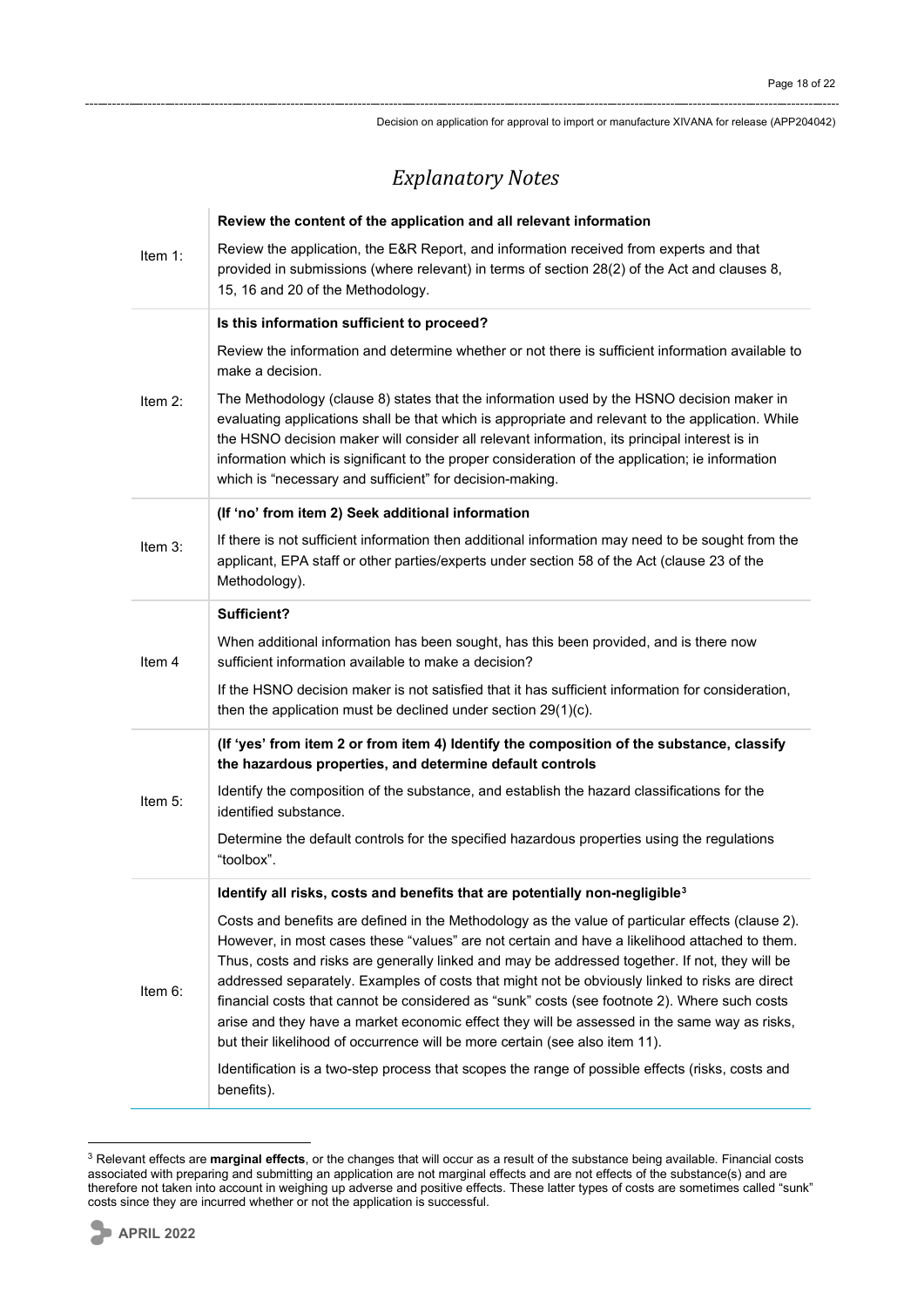## *Explanatory Notes*

|            | Review the content of the application and all relevant information                                                                                                                                                                                                                                                                                                                                                                                                                                                                                                                                                                                                                   |
|------------|--------------------------------------------------------------------------------------------------------------------------------------------------------------------------------------------------------------------------------------------------------------------------------------------------------------------------------------------------------------------------------------------------------------------------------------------------------------------------------------------------------------------------------------------------------------------------------------------------------------------------------------------------------------------------------------|
| Item 1:    | Review the application, the E&R Report, and information received from experts and that<br>provided in submissions (where relevant) in terms of section 28(2) of the Act and clauses 8,<br>15, 16 and 20 of the Methodology.                                                                                                                                                                                                                                                                                                                                                                                                                                                          |
|            | Is this information sufficient to proceed?                                                                                                                                                                                                                                                                                                                                                                                                                                                                                                                                                                                                                                           |
| Item $2$ : | Review the information and determine whether or not there is sufficient information available to<br>make a decision.                                                                                                                                                                                                                                                                                                                                                                                                                                                                                                                                                                 |
|            | The Methodology (clause 8) states that the information used by the HSNO decision maker in<br>evaluating applications shall be that which is appropriate and relevant to the application. While<br>the HSNO decision maker will consider all relevant information, its principal interest is in<br>information which is significant to the proper consideration of the application; ie information<br>which is "necessary and sufficient" for decision-making.                                                                                                                                                                                                                        |
|            | (If 'no' from item 2) Seek additional information                                                                                                                                                                                                                                                                                                                                                                                                                                                                                                                                                                                                                                    |
| Item $3$ : | If there is not sufficient information then additional information may need to be sought from the<br>applicant, EPA staff or other parties/experts under section 58 of the Act (clause 23 of the<br>Methodology).                                                                                                                                                                                                                                                                                                                                                                                                                                                                    |
| Item 4     | Sufficient?                                                                                                                                                                                                                                                                                                                                                                                                                                                                                                                                                                                                                                                                          |
|            | When additional information has been sought, has this been provided, and is there now<br>sufficient information available to make a decision?                                                                                                                                                                                                                                                                                                                                                                                                                                                                                                                                        |
|            | If the HSNO decision maker is not satisfied that it has sufficient information for consideration,<br>then the application must be declined under section $29(1)(c)$ .                                                                                                                                                                                                                                                                                                                                                                                                                                                                                                                |
| Item $5:$  | (If 'yes' from item 2 or from item 4) Identify the composition of the substance, classify<br>the hazardous properties, and determine default controls                                                                                                                                                                                                                                                                                                                                                                                                                                                                                                                                |
|            | Identify the composition of the substance, and establish the hazard classifications for the<br>identified substance.                                                                                                                                                                                                                                                                                                                                                                                                                                                                                                                                                                 |
|            | Determine the default controls for the specified hazardous properties using the regulations<br>"toolbox".                                                                                                                                                                                                                                                                                                                                                                                                                                                                                                                                                                            |
|            | Identify all risks, costs and benefits that are potentially non-negligible <sup>3</sup>                                                                                                                                                                                                                                                                                                                                                                                                                                                                                                                                                                                              |
| Item 6:    | Costs and benefits are defined in the Methodology as the value of particular effects (clause 2).<br>However, in most cases these "values" are not certain and have a likelihood attached to them.<br>Thus, costs and risks are generally linked and may be addressed together. If not, they will be<br>addressed separately. Examples of costs that might not be obviously linked to risks are direct<br>financial costs that cannot be considered as "sunk" costs (see footnote 2). Where such costs<br>arise and they have a market economic effect they will be assessed in the same way as risks,<br>but their likelihood of occurrence will be more certain (see also item 11). |
|            | Identification is a two-step process that scopes the range of possible effects (risks, costs and<br>benefits).                                                                                                                                                                                                                                                                                                                                                                                                                                                                                                                                                                       |

<span id="page-17-0"></span><sup>3</sup> Relevant effects are **marginal effects**, or the changes that will occur as a result of the substance being available. Financial costs associated with preparing and submitting an application are not marginal effects and are not effects of the substance(s) and are therefore not taken into account in weighing up adverse and positive effects. These latter types of costs are sometimes called "sunk" costs since they are incurred whether or not the application is successful.

 $\mathbf{r}$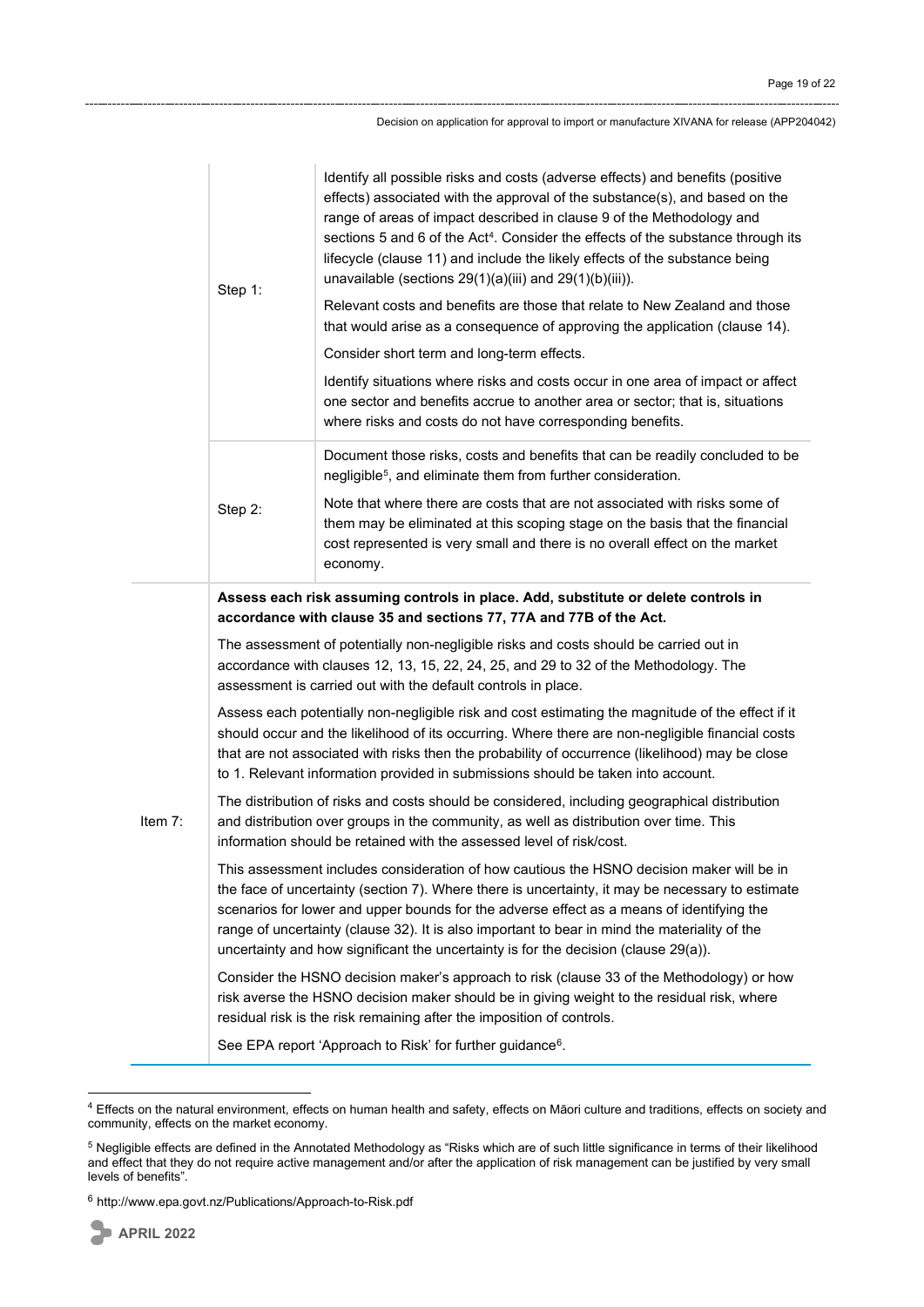|           | Step 1:                                                                                                                                                                                                                                                                                                                                                                                                                                                                            | Identify all possible risks and costs (adverse effects) and benefits (positive<br>effects) associated with the approval of the substance(s), and based on the<br>range of areas of impact described in clause 9 of the Methodology and<br>sections 5 and 6 of the Act <sup>4</sup> . Consider the effects of the substance through its<br>lifecycle (clause 11) and include the likely effects of the substance being<br>unavailable (sections $29(1)(a)(iii)$ and $29(1)(b)(iii)$ ).<br>Relevant costs and benefits are those that relate to New Zealand and those<br>that would arise as a consequence of approving the application (clause 14).<br>Consider short term and long-term effects.<br>Identify situations where risks and costs occur in one area of impact or affect<br>one sector and benefits accrue to another area or sector; that is, situations<br>where risks and costs do not have corresponding benefits. |
|-----------|------------------------------------------------------------------------------------------------------------------------------------------------------------------------------------------------------------------------------------------------------------------------------------------------------------------------------------------------------------------------------------------------------------------------------------------------------------------------------------|-----------------------------------------------------------------------------------------------------------------------------------------------------------------------------------------------------------------------------------------------------------------------------------------------------------------------------------------------------------------------------------------------------------------------------------------------------------------------------------------------------------------------------------------------------------------------------------------------------------------------------------------------------------------------------------------------------------------------------------------------------------------------------------------------------------------------------------------------------------------------------------------------------------------------------------|
|           |                                                                                                                                                                                                                                                                                                                                                                                                                                                                                    | Document those risks, costs and benefits that can be readily concluded to be<br>negligible <sup>5</sup> , and eliminate them from further consideration.                                                                                                                                                                                                                                                                                                                                                                                                                                                                                                                                                                                                                                                                                                                                                                          |
|           | Step 2:                                                                                                                                                                                                                                                                                                                                                                                                                                                                            | Note that where there are costs that are not associated with risks some of<br>them may be eliminated at this scoping stage on the basis that the financial<br>cost represented is very small and there is no overall effect on the market<br>economy.                                                                                                                                                                                                                                                                                                                                                                                                                                                                                                                                                                                                                                                                             |
|           | Assess each risk assuming controls in place. Add, substitute or delete controls in<br>accordance with clause 35 and sections 77, 77A and 77B of the Act.                                                                                                                                                                                                                                                                                                                           |                                                                                                                                                                                                                                                                                                                                                                                                                                                                                                                                                                                                                                                                                                                                                                                                                                                                                                                                   |
| Item $7:$ | The assessment of potentially non-negligible risks and costs should be carried out in<br>accordance with clauses 12, 13, 15, 22, 24, 25, and 29 to 32 of the Methodology. The<br>assessment is carried out with the default controls in place.                                                                                                                                                                                                                                     |                                                                                                                                                                                                                                                                                                                                                                                                                                                                                                                                                                                                                                                                                                                                                                                                                                                                                                                                   |
|           | Assess each potentially non-negligible risk and cost estimating the magnitude of the effect if it<br>should occur and the likelihood of its occurring. Where there are non-negligible financial costs<br>that are not associated with risks then the probability of occurrence (likelihood) may be close<br>to 1. Relevant information provided in submissions should be taken into account.                                                                                       |                                                                                                                                                                                                                                                                                                                                                                                                                                                                                                                                                                                                                                                                                                                                                                                                                                                                                                                                   |
|           | The distribution of risks and costs should be considered, including geographical distribution<br>and distribution over groups in the community, as well as distribution over time. This<br>information should be retained with the assessed level of risk/cost.                                                                                                                                                                                                                    |                                                                                                                                                                                                                                                                                                                                                                                                                                                                                                                                                                                                                                                                                                                                                                                                                                                                                                                                   |
|           | This assessment includes consideration of how cautious the HSNO decision maker will be in<br>the face of uncertainty (section 7). Where there is uncertainty, it may be necessary to estimate<br>scenarios for lower and upper bounds for the adverse effect as a means of identifying the<br>range of uncertainty (clause 32). It is also important to bear in mind the materiality of the<br>uncertainty and how significant the uncertainty is for the decision (clause 29(a)). |                                                                                                                                                                                                                                                                                                                                                                                                                                                                                                                                                                                                                                                                                                                                                                                                                                                                                                                                   |
|           |                                                                                                                                                                                                                                                                                                                                                                                                                                                                                    | Consider the HSNO decision maker's approach to risk (clause 33 of the Methodology) or how<br>risk averse the HSNO decision maker should be in giving weight to the residual risk, where<br>residual risk is the risk remaining after the imposition of controls.                                                                                                                                                                                                                                                                                                                                                                                                                                                                                                                                                                                                                                                                  |
|           |                                                                                                                                                                                                                                                                                                                                                                                                                                                                                    | See EPA report 'Approach to Risk' for further guidance <sup>6</sup> .                                                                                                                                                                                                                                                                                                                                                                                                                                                                                                                                                                                                                                                                                                                                                                                                                                                             |

<span id="page-18-0"></span><sup>&</sup>lt;sup>4</sup> Effects on the natural environment, effects on human health and safety, effects on Māori culture and traditions, effects on society and community, effects on the market economy.

<span id="page-18-1"></span><sup>5</sup> Negligible effects are defined in the Annotated Methodology as "Risks which are of such little significance in terms of their likelihood and effect that they do not require active management and/or after the application of risk management can be justified by very small levels of benefits".

<span id="page-18-2"></span> $6$  <http://www.epa.govt.nz/Publications/Approach-to-Risk.pdf>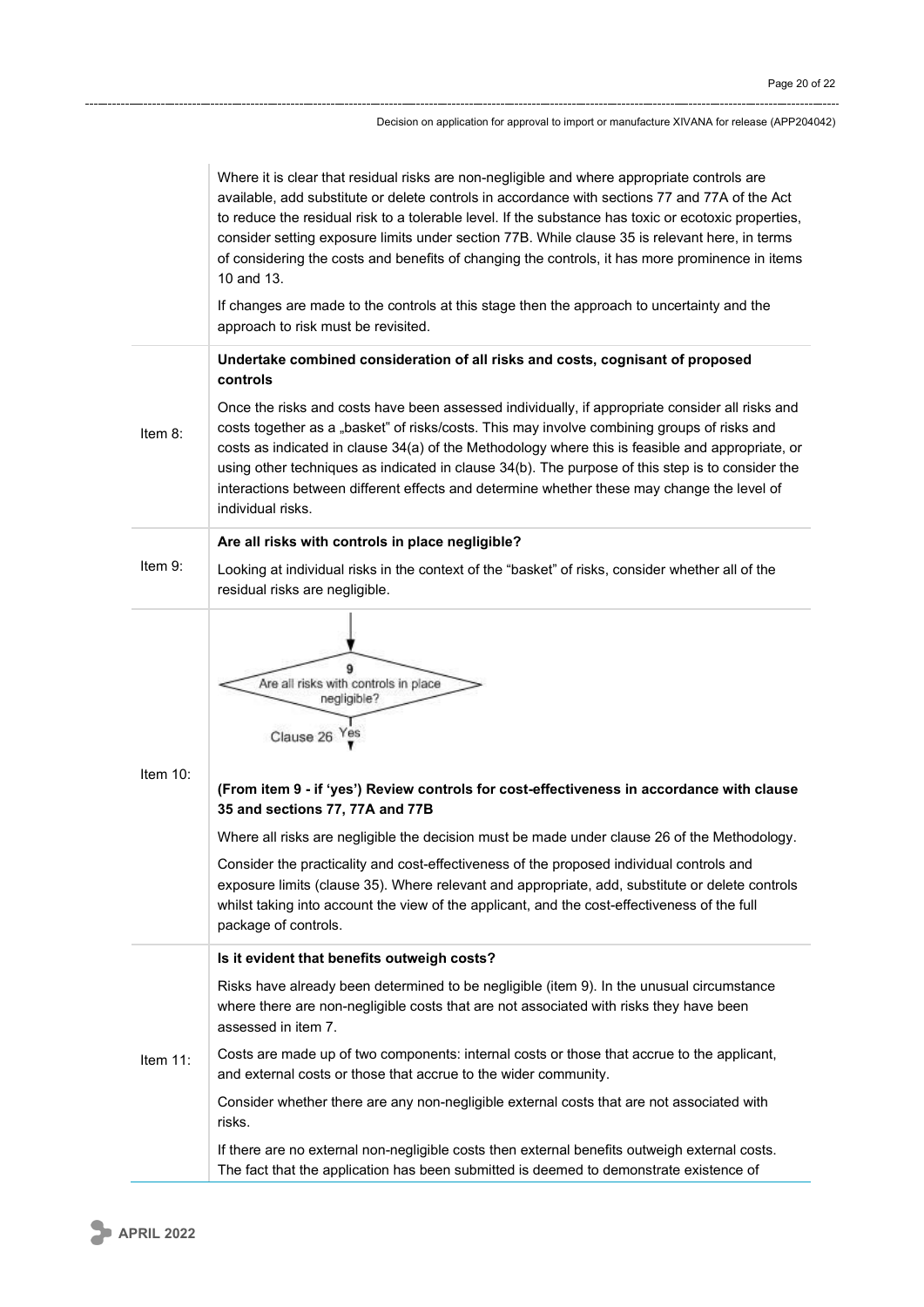|            | Where it is clear that residual risks are non-negligible and where appropriate controls are<br>available, add substitute or delete controls in accordance with sections 77 and 77A of the Act<br>to reduce the residual risk to a tolerable level. If the substance has toxic or ecotoxic properties,<br>consider setting exposure limits under section 77B. While clause 35 is relevant here, in terms<br>of considering the costs and benefits of changing the controls, it has more prominence in items<br>10 and 13.                                                                                                    |
|------------|-----------------------------------------------------------------------------------------------------------------------------------------------------------------------------------------------------------------------------------------------------------------------------------------------------------------------------------------------------------------------------------------------------------------------------------------------------------------------------------------------------------------------------------------------------------------------------------------------------------------------------|
|            | If changes are made to the controls at this stage then the approach to uncertainty and the<br>approach to risk must be revisited.                                                                                                                                                                                                                                                                                                                                                                                                                                                                                           |
|            | Undertake combined consideration of all risks and costs, cognisant of proposed<br>controls                                                                                                                                                                                                                                                                                                                                                                                                                                                                                                                                  |
| Item $8$ : | Once the risks and costs have been assessed individually, if appropriate consider all risks and<br>costs together as a "basket" of risks/costs. This may involve combining groups of risks and<br>costs as indicated in clause 34(a) of the Methodology where this is feasible and appropriate, or<br>using other techniques as indicated in clause 34(b). The purpose of this step is to consider the<br>interactions between different effects and determine whether these may change the level of<br>individual risks.                                                                                                   |
|            | Are all risks with controls in place negligible?                                                                                                                                                                                                                                                                                                                                                                                                                                                                                                                                                                            |
| Item 9:    | Looking at individual risks in the context of the "basket" of risks, consider whether all of the<br>residual risks are negligible.                                                                                                                                                                                                                                                                                                                                                                                                                                                                                          |
| Item 10:   | Are all risks with controls in place<br>negligible?<br>Clause 26 Yes<br>(From item 9 - if 'yes') Review controls for cost-effectiveness in accordance with clause<br>35 and sections 77, 77A and 77B<br>Where all risks are negligible the decision must be made under clause 26 of the Methodology.<br>Consider the practicality and cost-effectiveness of the proposed individual controls and<br>exposure limits (clause 35). Where relevant and appropriate, add, substitute or delete controls<br>whilst taking into account the view of the applicant, and the cost-effectiveness of the full<br>package of controls. |
|            | Is it evident that benefits outweigh costs?                                                                                                                                                                                                                                                                                                                                                                                                                                                                                                                                                                                 |
| Item 11:   | Risks have already been determined to be negligible (item 9). In the unusual circumstance<br>where there are non-negligible costs that are not associated with risks they have been<br>assessed in item 7.                                                                                                                                                                                                                                                                                                                                                                                                                  |
|            | Costs are made up of two components: internal costs or those that accrue to the applicant,<br>and external costs or those that accrue to the wider community.                                                                                                                                                                                                                                                                                                                                                                                                                                                               |
|            | Consider whether there are any non-negligible external costs that are not associated with<br>risks.                                                                                                                                                                                                                                                                                                                                                                                                                                                                                                                         |
|            | If there are no external non-negligible costs then external benefits outweigh external costs.<br>The fact that the application has been submitted is deemed to demonstrate existence of                                                                                                                                                                                                                                                                                                                                                                                                                                     |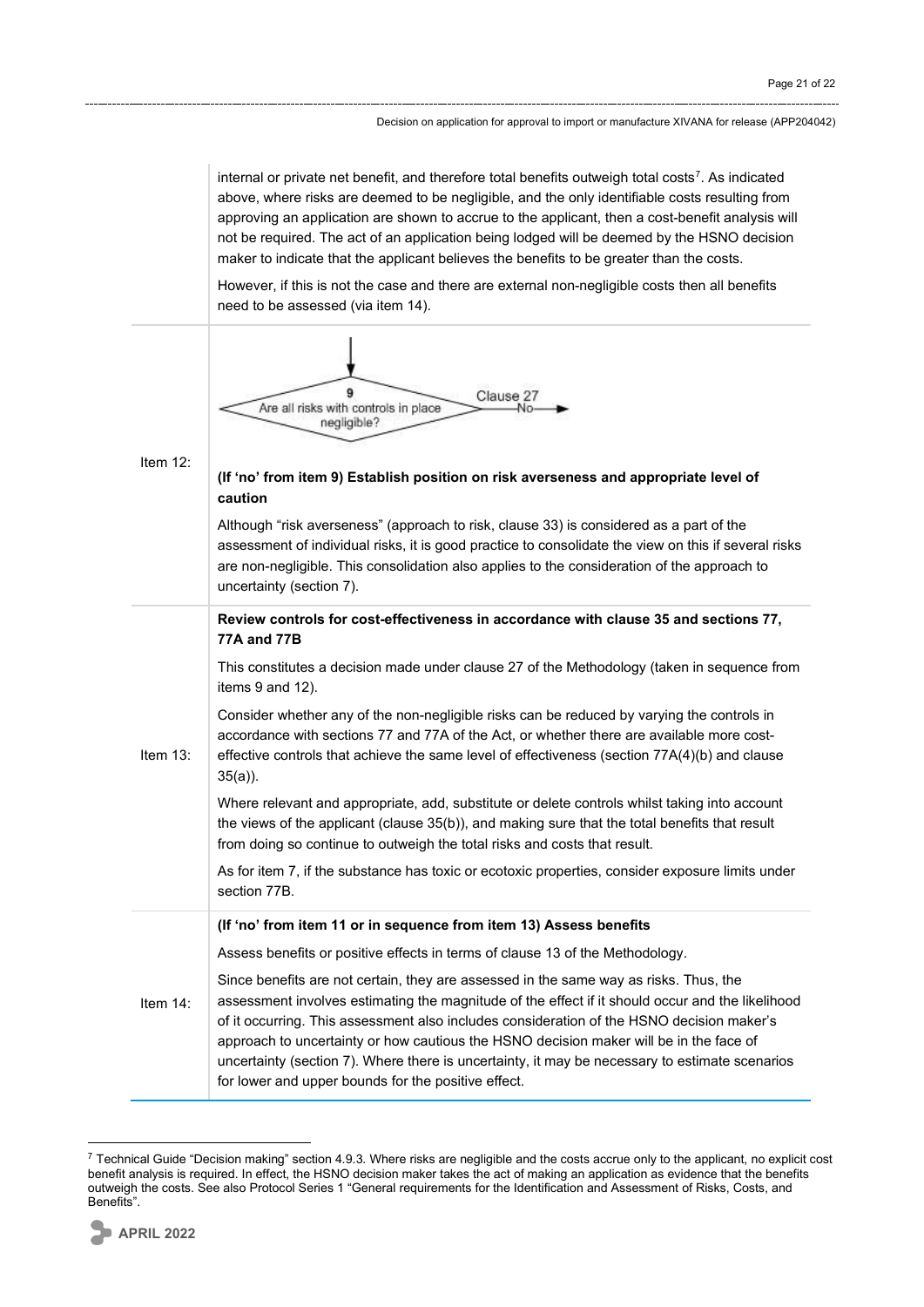internal or private net benefit, and therefore total benefits outweigh total costs<sup>7</sup>. As indicated above, where risks are deemed to be negligible, and the only identifiable costs resulting from approving an application are shown to accrue to the applicant, then a cost-benefit analysis will not be required. The act of an application being lodged will be deemed by the HSNO decision maker to indicate that the applicant believes the benefits to be greater than the costs.

However, if this is not the case and there are external non-negligible costs then all benefits need to be assessed (via item 14).



<span id="page-20-0"></span> $7$  Technical Guide "Decision making" section 4.9.3. Where risks are negligible and the costs accrue only to the applicant, no explicit cost benefit analysis is required. In effect, the HSNO decision maker takes the act of making an application as evidence that the benefits outweigh the costs. See also Protocol Series 1 "General requirements for the Identification and Assessment of Risks, Costs, and Benefits".